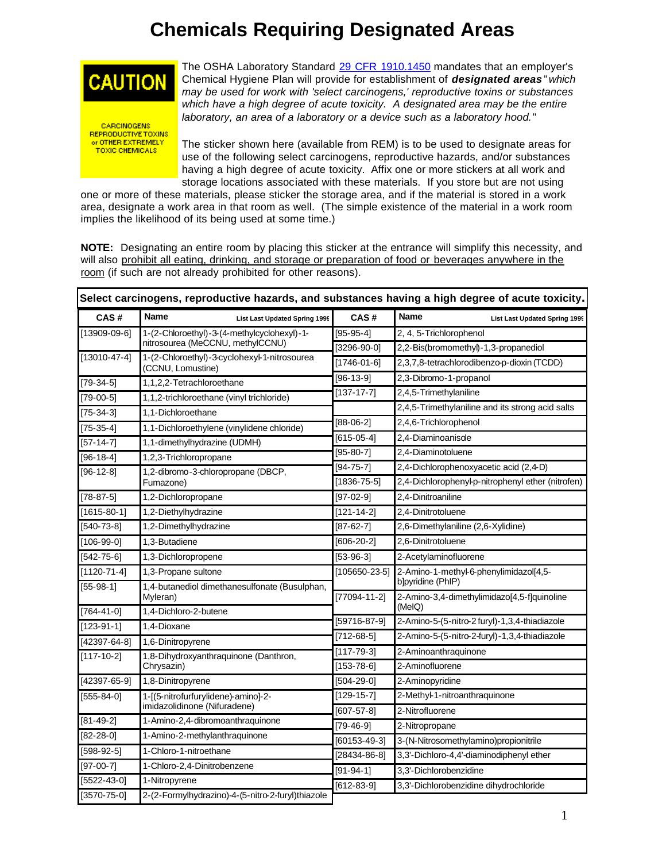## **Chemicals Requiring Designated Areas**



**CARCINOGENS** REPRODUCTIVE TOXINS **TOXIC CHEMICALS** 

The OSHA Laboratory Standard [29 CFR 1910.1450](http://www.osha.gov/pls/oshaweb/owadisp.show_document?p_table=STANDARDS&p_id=10106) mandates that an employer's Chemical Hygiene Plan will provide for establishment of *designated areas* "*which may be used for work with 'select carcinogens,' reproductive toxins or substances*  which have a high degree of acute toxicity. A designated area may be the entire *laboratory, an area of a laboratory or a device such as a laboratory hood.*"

The sticker shown here (available from REM) is to be used to designate areas for use of the following select carcinogens, reproductive hazards, and/or substances having a high degree of acute toxicity. Affix one or more stickers at all work and storage locations associated with these materials. If you store but are not using

one or more of these materials, please sticker the storage area, and if the material is stored in a work area, designate a work area in that room as well. (The simple existence of the material in a work room implies the likelihood of its being used at some time.)

**NOTE:** Designating an entire room by placing this sticker at the entrance will simplify this necessity, and will also prohibit all eating, drinking, and storage or preparation of food or beverages anywhere in the room (if such are not already prohibited for other reasons).

|                    | Select carcinogens, reproductive hazards, and substances having a high degree of acute toxicity. |                     |                                                                  |                                      |  |
|--------------------|--------------------------------------------------------------------------------------------------|---------------------|------------------------------------------------------------------|--------------------------------------|--|
| CAS#               | Name<br><b>List Last Updated Spring 1999</b>                                                     | CAS#                | <b>Name</b>                                                      | <b>List Last Updated Spring 1999</b> |  |
| [13909-09-6]       | 1-(2-Chloroethyl)-3-(4-methylcyclohexyl)-1-                                                      | $[95-95-4]$         | 2, 4, 5-Trichlorophenol                                          |                                      |  |
|                    | nitrosourea (MeCCNU, methylCCNU)                                                                 | $[3296 - 90 - 0]$   | 2,2-Bis(bromomethyl)-1,3-propanediol                             |                                      |  |
| $[13010 - 47 - 4]$ | 1-(2-Chloroethyl)-3-cyclohexyl-1-nitrosourea<br>(CCNU, Lomustine)                                | [1746-01-6]         | 2,3,7,8-tetrachlorodibenzo-p-dioxin (TCDD)                       |                                      |  |
| $[79-34-5]$        | 1,1,2,2-Tetrachloroethane                                                                        | $[96-13-9]$         | 2,3-Dibromo-1-propanol                                           |                                      |  |
| $[79-00-5]$        | 1,1,2-trichloroethane (vinyl trichloride)                                                        | $[137 - 17 - 7]$    | 2,4,5-Trimethylaniline                                           |                                      |  |
| $[75 - 34 - 3]$    | 1,1-Dichloroethane                                                                               |                     | 2,4,5-Trimethylaniline and its strong acid salts                 |                                      |  |
| $[75-35-4]$        | 1,1-Dichloroethylene (vinylidene chloride)                                                       | $[88-06-2]$         | 2,4,6-Trichlorophenol                                            |                                      |  |
| $[57-14-7]$        | 1,1-dimethylhydrazine (UDMH)                                                                     | $[615-05-4]$        | 2,4-Diaminoanisole                                               |                                      |  |
| $[96-18-4]$        | 1,2,3-Trichloropropane                                                                           | $[95 - 80 - 7]$     | 2,4-Diaminotoluene                                               |                                      |  |
| $[96-12-8]$        | 1,2-dibromo-3-chloropropane (DBCP,                                                               | $[94 - 75 - 7]$     | 2,4-Dichlorophenoxyacetic acid (2,4-D)                           |                                      |  |
|                    | Fumazone)                                                                                        | $[1836 - 75 - 5]$   | 2,4-Dichlorophenyl-p-nitrophenyl ether (nitrofen)                |                                      |  |
| $[78-87-5]$        | 1,2-Dichloropropane                                                                              | $[97-02-9]$         | 2,4-Dinitroaniline                                               |                                      |  |
| $[1615 - 80 - 1]$  | 1,2-Diethylhydrazine                                                                             | $[121 - 14 - 2]$    | 2,4-Dinitrotoluene                                               |                                      |  |
| $[540 - 73 - 8]$   | 1,2-Dimethylhydrazine                                                                            | $[87 - 62 - 7]$     | 2,6-Dimethylaniline (2,6-Xylidine)                               |                                      |  |
| $[106-99-0]$       | 1,3-Butadiene                                                                                    | $[606 - 20 - 2]$    | 2,6-Dinitrotoluene                                               |                                      |  |
| $[542 - 75 - 6]$   | 1,3-Dichloropropene                                                                              | $[53-96-3]$         | 2-Acetylaminofluorene                                            |                                      |  |
| $[1120 - 71 - 4]$  | 1,3-Propane sultone                                                                              | $[105650 - 23 - 5]$ | 2-Amino-1-methyl-6-phenylimidazol[4,5-                           |                                      |  |
| $[55-98-1]$        | 1,4-butanediol dimethanesulfonate (Busulphan,<br>Myleran)                                        | $[77094 - 11 - 2]$  | b]pyridine (PhIP)<br>2-Amino-3,4-dimethylimidazo[4,5-f]quinoline |                                      |  |
| $[764 - 41 - 0]$   | 1,4-Dichloro-2-butene                                                                            |                     | (MeIQ)                                                           |                                      |  |
| $[123-91-1]$       | 1,4-Dioxane                                                                                      | [59716-87-9]        | 2-Amino-5-(5-nitro-2 furyl)-1,3,4-thiadiazole                    |                                      |  |
| $[42397 - 64 - 8]$ | 1,6-Dinitropyrene                                                                                | $[712-68-5]$        | 2-Amino-5-(5-nitro-2-furyl)-1,3,4-thiadiazole                    |                                      |  |
| $[117 - 10 - 2]$   | 1,8-Dihydroxyanthraquinone (Danthron,                                                            | $[117 - 79 - 3]$    | 2-Aminoanthraquinone                                             |                                      |  |
|                    | Chrysazin)                                                                                       | $[153 - 78 - 6]$    | 2-Aminofluorene                                                  |                                      |  |
| $[42397 - 65 - 9]$ | 1,8-Dinitropyrene                                                                                | $[504-29-0]$        | 2-Aminopyridine                                                  |                                      |  |
| $[555-84-0]$       | 1-[(5-nitrofurfurylidene)-amino]-2-<br>imidazolidinone (Nifuradene)                              | $[129-15-7]$        | 2-Methyl-1-nitroanthraquinone                                    |                                      |  |
| $[81 - 49 - 2]$    | 1-Amino-2,4-dibromoanthraquinone                                                                 | $[607 - 57 - 8]$    | 2-Nitrofluorene                                                  |                                      |  |
| $[82 - 28 - 0]$    | 1-Amino-2-methylanthraquinone                                                                    | [79-46-9]           | 2-Nitropropane                                                   |                                      |  |
| $[598-92-5]$       | 1-Chloro-1-nitroethane                                                                           | $[60153-49-3]$      | 3-(N-Nitrosomethylamino)propionitrile                            |                                      |  |
| $[97-00-7]$        |                                                                                                  | $[28434 - 86 - 8]$  | 3,3'-Dichloro-4,4'-diaminodiphenyl ether                         |                                      |  |
|                    | 1-Chloro-2,4-Dinitrobenzene                                                                      | $[91 - 94 - 1]$     | 3,3'-Dichlorobenzidine                                           |                                      |  |
| $[5522 - 43 - 0]$  | 1-Nitropyrene                                                                                    | $[612-83-9]$        | 3,3'-Dichlorobenzidine dihydrochloride                           |                                      |  |
| $[3570 - 75 - 0]$  | 2-(2-Formylhydrazino)-4-(5-nitro-2-furyl)thiazole                                                |                     |                                                                  |                                      |  |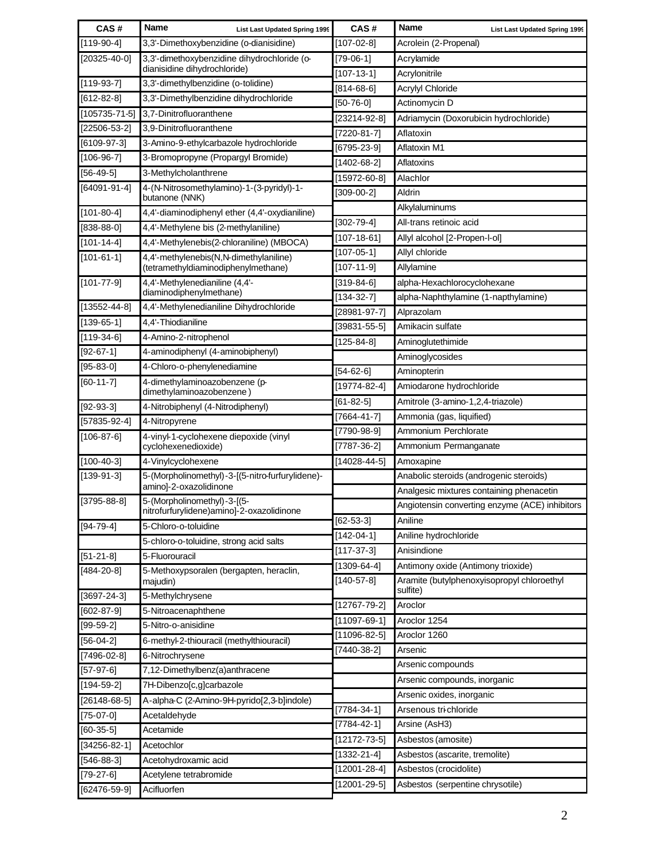| CAS#                        | Name<br><b>List Last Updated Spring 1999</b>                               | CAS#               | <b>Name</b><br><b>List Last Updated Spring 1999</b>    |
|-----------------------------|----------------------------------------------------------------------------|--------------------|--------------------------------------------------------|
| $[119-90-4]$                | 3,3'-Dimethoxybenzidine (o-dianisidine)                                    | [107-02-8]         | Acrolein (2-Propenal)                                  |
| $[20325 - 40 - 0]$          | 3,3'-dimethoxybenzidine dihydrochloride (o-                                | $[79-06-1]$        | Acrylamide                                             |
|                             | dianisidine dihydrochloride)                                               | $[107 - 13 - 1]$   | Acrylonitrile                                          |
| $[119-93-7]$                | 3,3'-dimethylbenzidine (o-tolidine)                                        | $[814 - 68 - 6]$   | Acrylyl Chloride                                       |
| $[612-82-8]$                | 3,3'-Dimethylbenzidine dihydrochloride                                     | [50-76-0]          | Actinomycin D                                          |
| $[105735 - 71 - 5]$         | 3,7-Dinitrofluoranthene                                                    | $[23214-92-8]$     | Adriamycin (Doxorubicin hydrochloride)                 |
| $[22506 - 53 - 2]$          | 3,9-Dinitrofluoranthene                                                    | $[7220-81-7]$      | Aflatoxin                                              |
| $[6109-97-3]$               | 3-Amino-9-ethylcarbazole hydrochloride                                     | $[6795 - 23 - 9]$  | Aflatoxin M1                                           |
| $[106-96-7]$                | 3-Bromopropyne (Propargyl Bromide)                                         | $[1402 - 68 - 2]$  | Aflatoxins                                             |
| $[56-49-5]$                 | 3-Methylcholanthrene                                                       | $[15972 - 60 - 8]$ | Alachlor                                               |
| $[64091 - 91 - 4]$          | 4-(N-Nitrosomethylamino)-1-(3-pyridyl)-1-<br>butanone (NNK)                | $[309-00-2]$       | Aldrin                                                 |
| $[101 - 80 - 4]$            | 4,4'-diaminodiphenyl ether (4,4'-oxydianiline)                             |                    | Alkylaluminums                                         |
| $[838-88-0]$                | 4,4'-Methylene bis (2-methylaniline)                                       | $[302 - 79 - 4]$   | All-trans retinoic acid                                |
| $[101 - 14 - 4]$            | 4,4'-Methylenebis(2-chloraniline) (MBOCA)                                  | $[107 - 18 - 61]$  | Allyl alcohol [2-Propen-I-ol]                          |
| $[101 - 61 - 1]$            | 4,4'-methylenebis(N,N-dimethylaniline)                                     | $[107 - 05 - 1]$   | Allyl chloride                                         |
|                             | (tetramethyldiaminodiphenylmethane)                                        | $[107 - 11 - 9]$   | Allylamine                                             |
| $[101 - 77 - 9]$            | 4,4'-Methylenedianiline (4,4'-<br>diaminodiphenylmethane)                  | $[319-84-6]$       | alpha-Hexachlorocyclohexane                            |
| $[13552 - 44 - 8]$          | 4,4'-Methylenedianiline Dihydrochloride                                    | $[134 - 32 - 7]$   | alpha-Naphthylamine (1-napthylamine)                   |
| $[139-65-1]$                | 4,4'-Thiodianiline                                                         | $[28981 - 97 - 7]$ | Alprazolam                                             |
| $[119-34-6]$                | 4-Amino-2-nitrophenol                                                      | $[39831 - 55 - 5]$ | Amikacin sulfate                                       |
| $[92 - 67 - 1]$             | 4-aminodiphenyl (4-aminobiphenyl)                                          | $[125 - 84 - 8]$   | Aminoglutethimide                                      |
| $[95 - 83 - 0]$             | 4-Chloro-o-phenylenediamine                                                |                    | Aminoglycosides                                        |
|                             |                                                                            | $[54-62-6]$        | Aminopterin                                            |
| $[60-11-7]$                 | 4-dimethylaminoazobenzene (p-<br>dimethylaminoazobenzene)                  | $[19774-82-4]$     | Amiodarone hydrochloride                               |
| $[92-93-3]$                 | 4-Nitrobiphenyl (4-Nitrodiphenyl)                                          | $[61 - 82 - 5]$    | Amitrole (3-amino-1,2,4-triazole)                      |
| $[57835-92-4]$              | 4-Nitropyrene                                                              | $[7664 - 41 - 7]$  | Ammonia (gas, liquified)                               |
| $[106 - 87 - 6]$            | 4-vinyl-1-cyclohexene diepoxide (vinyl                                     | [7790-98-9]        | Ammonium Perchlorate                                   |
|                             | cyclohexenedioxide)                                                        | $[7787 - 36 - 2]$  | Ammonium Permanganate                                  |
| $[100-40-3]$                | 4-Vinylcyclohexene                                                         | $[14028 - 44 - 5]$ | Amoxapine                                              |
| $[139-91-3]$                | 5-(Morpholinomethyl)-3-[(5-nitro-furfurylidene)-<br>amino]-2-oxazolidinone |                    | Anabolic steroids (androgenic steroids)                |
| $[3795 - 88 - 8]$           | 5-(Morpholinomethyl)-3-[(5-                                                |                    | Analgesic mixtures containing phenacetin               |
|                             | nitrofurfurylidene)amino]-2-oxazolidinone                                  |                    | Angiotensin converting enzyme (ACE) inhibitors         |
| $[94 - 79 - 4]$             | 5-Chloro-o-toluidine                                                       | $[62 - 53 - 3]$    | Aniline                                                |
|                             | 5-chloro-o-toluidine, strong acid salts                                    | $[142 - 04 - 1]$   | Aniline hydrochloride                                  |
| $[51 - 21 - 8]$             | 5-Fluorouracil                                                             | $[117-37-3]$       | Anisindione                                            |
| $[484 - 20 - 8]$            | 5-Methoxypsoralen (bergapten, heraclin,                                    | $[1309 - 64 - 4]$  | Antimony oxide (Antimony trioxide)                     |
|                             | majudin)                                                                   | $[140-57-8]$       | Aramite (butylphenoxyisopropyl chloroethyl<br>sulfite) |
| $[3697 - 24 - 3]$           | 5-Methylchrysene                                                           | $[12767 - 79 - 2]$ | Aroclor                                                |
| $[602-87-9]$                | 5-Nitroacenaphthene                                                        | $[11097 - 69 - 1]$ | Aroclor 1254                                           |
| $[99-59-2]$                 | 5-Nitro-o-anisidine                                                        | $[11096 - 82 - 5]$ | Aroclor 1260                                           |
| $[56-04-2]$                 | 6-methyl-2-thiouracil (methylthiouracil)                                   | $[7440-38-2]$      | Arsenic                                                |
| $[7496-02-8]$               | 6-Nitrochrysene                                                            |                    | Arsenic compounds                                      |
| $[57-97-6]$                 | 7,12-Dimethylbenz(a)anthracene                                             |                    | Arsenic compounds, inorganic                           |
| $[194 - 59 - 2]$            | 7H-Dibenzo[c,g]carbazole                                                   |                    | Arsenic oxides, inorganic                              |
| $[26148-68-5]$              | A-alpha-C (2-Amino-9H-pyrido[2,3-b]indole)                                 | $[7784 - 34 - 1]$  | Arsenous tri-chloride                                  |
| $[75-07-0]$<br>$[60-35-5]$  | Acetaldehyde<br>Acetamide                                                  | $[7784 - 42 - 1]$  | Arsine (AsH3)                                          |
|                             |                                                                            | $[12172 - 73 - 5]$ | Asbestos (amosite)                                     |
| $[34256 - 82 - 1]$          | Acetochlor                                                                 | $[1332 - 21 - 4]$  | Asbestos (ascarite, tremolite)                         |
| $[546-88-3]$<br>$[79-27-6]$ | Acetohydroxamic acid<br>Acetylene tetrabromide                             | $[12001 - 28 - 4]$ | Asbestos (crocidolite)                                 |
|                             | Acifluorfen                                                                | $[12001 - 29 - 5]$ | Asbestos (serpentine chrysotile)                       |
| $[62476-59-9]$              |                                                                            |                    |                                                        |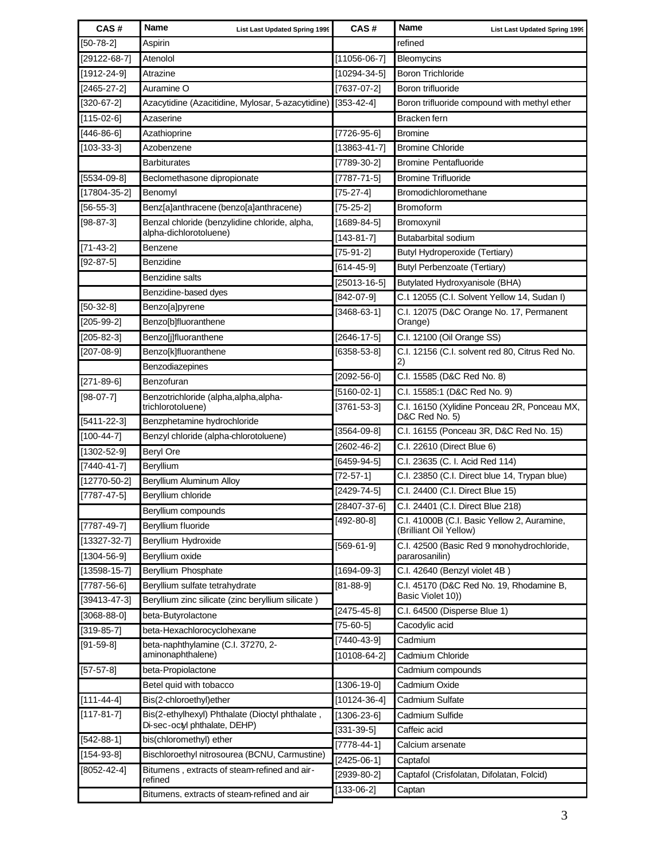| CAS#               | Name<br><b>List Last Updated Spring 1999</b>                                     | CAS#                    | Name<br><b>List Last Updated Spring 1999</b>                          |
|--------------------|----------------------------------------------------------------------------------|-------------------------|-----------------------------------------------------------------------|
| $[50-78-2]$        | Aspirin                                                                          |                         | refined                                                               |
| $[29122-68-7]$     | Atenolol                                                                         | $[11056-06-7]$          | Bleomycins                                                            |
| $[1912 - 24 - 9]$  | Atrazine                                                                         | $[10294 - 34 - 5]$      | <b>Boron Trichloride</b>                                              |
| $[2465 - 27 - 2]$  | Auramine O                                                                       | $[7637-07-2]$           | Boron trifluoride                                                     |
| $[320-67-2]$       | Azacytidine (Azacitidine, Mylosar, 5-azacytidine)                                | $[353 - 42 - 4]$        | Boron trifluoride compound with methyl ether                          |
| $[115-02-6]$       | Azaserine                                                                        |                         | Bracken fern                                                          |
| $[446-86-6]$       | Azathioprine                                                                     | $[7726-95-6]$           | <b>Bromine</b>                                                        |
| $[103 - 33 - 3]$   | Azobenzene                                                                       | $[13863 - 41 - 7]$      | <b>Bromine Chloride</b>                                               |
|                    | <b>Barbiturates</b>                                                              | $[7789-30-2]$           | <b>Bromine Pentafluoride</b>                                          |
| $[5534-09-8]$      | Beclomethasone dipropionate                                                      | $[7787 - 71 - 5]$       | <b>Bromine Trifluoride</b>                                            |
| $[17804 - 35 - 2]$ | Benomyl                                                                          | $[75-27-4]$             | Bromodichloromethane                                                  |
| $[56 - 55 - 3]$    | Benz[a]anthracene (benzo[a]anthracene)                                           | $[75 - 25 - 2]$         | Bromoform                                                             |
| $[98-87-3]$        | Benzal chloride (benzylidine chloride, alpha,                                    | $[1689-84-5]$           | Bromoxynil                                                            |
|                    | alpha-dichlorotoluene)                                                           | $[143 - 81 - 7]$        | Butabarbital sodium                                                   |
| $[71 - 43 - 2]$    | Benzene                                                                          | $[75-91-2]$             | <b>Butyl Hydroperoxide (Tertiary)</b>                                 |
| $[92-87-5]$        | Benzidine                                                                        | $[614 - 45 - 9]$        | <b>Butyl Perbenzoate (Tertiary)</b>                                   |
|                    | Benzidine salts                                                                  | $[25013 - 16 - 5]$      | Butylated Hydroxyanisole (BHA)                                        |
|                    | Benzidine-based dyes                                                             | $[842-07-9]$            | C.I. 12055 (C.I. Solvent Yellow 14, Sudan I)                          |
| $[50-32-8]$        | Benzo[a]pyrene                                                                   | $[3468-63-1]$           | C.I. 12075 (D&C Orange No. 17, Permanent                              |
| $[205 - 99 - 2]$   | Benzo[b]fluoranthene                                                             |                         | Orange)                                                               |
| $[205 - 82 - 3]$   | Benzo[j]fluoranthene                                                             | $[2646 - 17 - 5]$       | C.I. 12100 (Oil Orange SS)                                            |
| $[207-08-9]$       | Benzo[k]fluoranthene                                                             | $[6358 - 53 - 8]$       | C.I. 12156 (C.I. solvent red 80, Citrus Red No.<br>2)                 |
|                    | Benzodiazepines                                                                  | $[2092 - 56 - 0]$       | C.I. 15585 (D&C Red No. 8)                                            |
| $[271-89-6]$       | Benzofuran                                                                       | $[5160-02-1]$           | C.I. 15585:1 (D&C Red No. 9)                                          |
| $[98-07-7]$        | Benzotrichloride (alpha, alpha, alpha-<br>trichlorotoluene)                      | $[3761 - 53 - 3]$       | C.I. 16150 (Xylidine Ponceau 2R, Ponceau MX,                          |
| $[5411 - 22 - 3]$  | Benzphetamine hydrochloride                                                      |                         | D&C Red No. 5)                                                        |
| $[100-44-7]$       | Benzyl chloride (alpha-chlorotoluene)                                            | $[3564-09-8]$           | C.I. 16155 (Ponceau 3R, D&C Red No. 15)                               |
| $[1302 - 52 - 9]$  | <b>Beryl Ore</b>                                                                 | $[2602 - 46 - 2]$       | C.I. 22610 (Direct Blue 6)                                            |
| $[7440 - 41 - 7]$  | Beryllium                                                                        | $[6459-94-5]$           | C.I. 23635 (C. I. Acid Red 114)                                       |
| $[12770 - 50 - 2]$ | Beryllium Aluminum Alloy                                                         | $[72-57-1]$             | C.I. 23850 (C.I. Direct blue 14, Trypan blue)                         |
| $[7787 - 47 - 5]$  | Beryllium chloride                                                               | $[2429 - 74 - 5]$       | C.I. 24400 (C.I. Direct Blue 15)                                      |
|                    | Beryllium compounds                                                              | $[28407 - 37 - 6]$      | C.I. 24401 (C.I. Direct Blue 218)                                     |
| $[7787 - 49 - 7]$  | Beryllium fluoride                                                               | $\overline{[492-80-8]}$ | C.I. 41000B (C.I. Basic Yellow 2, Auramine,<br>(Brilliant Oil Yellow) |
| $[13327 - 32 - 7]$ | Beryllium Hydroxide                                                              | $[569-61-9]$            | C.I. 42500 (Basic Red 9 monohydrochloride,                            |
| $[1304 - 56 - 9]$  | Beryllium oxide                                                                  |                         | pararosanilin)                                                        |
| $[13598-15-7]$     | Beryllium Phosphate                                                              | $[1694-09-3]$           | C.I. 42640 (Benzyl violet 4B)                                         |
| $[7787 - 56 - 6]$  | Beryllium sulfate tetrahydrate                                                   | $[81 - 88 - 9]$         | C.I. 45170 (D&C Red No. 19, Rhodamine B,                              |
| $[39413 - 47 - 3]$ | Beryllium zinc silicate (zinc beryllium silicate)                                |                         | Basic Violet 10))                                                     |
| $[3068 - 88 - 0]$  | beta-Butyrolactone                                                               | $[2475 - 45 - 8]$       | C.I. 64500 (Disperse Blue 1)                                          |
| $[319-85-7]$       | beta-Hexachlorocyclohexane                                                       | $[75-60-5]$             | Cacodylic acid                                                        |
| $[91 - 59 - 8]$    | beta-naphthylamine (C.I. 37270, 2-                                               | $[7440 - 43 - 9]$       | Cadmium                                                               |
|                    | aminonaphthalene)                                                                | $[10108-64-2]$          | Cadmium Chloride                                                      |
| $[57-57-8]$        | beta-Propiolactone                                                               |                         | Cadmium compounds                                                     |
|                    | Betel quid with tobacco                                                          | $[1306 - 19 - 0]$       | Cadmium Oxide                                                         |
| $[111 - 44 - 4]$   | Bis(2-chloroethyl)ether                                                          | $[10124-36-4]$          | Cadmium Sulfate                                                       |
| $[117 - 81 - 7]$   | Bis(2-ethylhexyl) Phthalate (Dioctyl phthalate,<br>Di-sec-octyl phthalate, DEHP) | $[1306 - 23 - 6]$       | Cadmium Sulfide                                                       |
| $[542-88-1]$       | bis(chloromethyl) ether                                                          | $[331 - 39 - 5]$        | Caffeic acid<br>Calcium arsenate                                      |
| $[154-93-8]$       | Bischloroethyl nitrosourea (BCNU, Carmustine)                                    | $[7778 - 44 - 1]$       |                                                                       |
| $[8052 - 42 - 4]$  | Bitumens, extracts of steam-refined and air-                                     | $[2425 - 06 - 1]$       | Captafol                                                              |
|                    | refined                                                                          | $[2939-80-2]$           | Captafol (Crisfolatan, Difolatan, Folcid)                             |
|                    | Bitumens. extracts of steam-refined and air                                      | $[133-06-2]$            | Captan                                                                |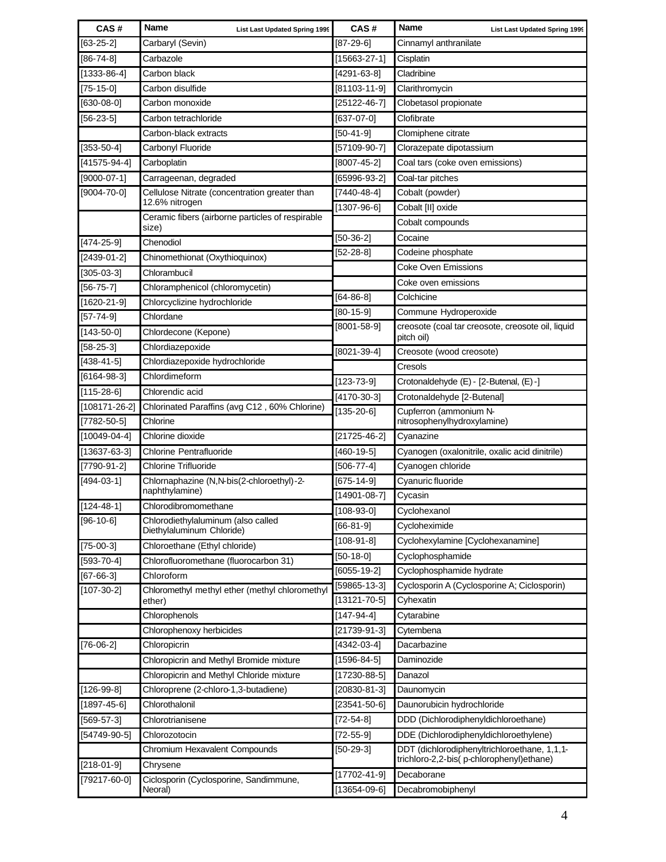| CAS#                                     | <b>Name</b>                                                   | <b>List Last Updated Spring 1999</b> | CAS#                               | <b>Name</b>                                                                              | <b>List Last Updated Spring 1999</b>              |
|------------------------------------------|---------------------------------------------------------------|--------------------------------------|------------------------------------|------------------------------------------------------------------------------------------|---------------------------------------------------|
| $[63 - 25 - 2]$                          | Carbaryl (Sevin)                                              |                                      | [87-29-6]                          | Cinnamyl anthranilate                                                                    |                                                   |
| $[86 - 74 - 8]$                          | Carbazole                                                     |                                      | $[15663 - 27 - 1]$                 | Cisplatin                                                                                |                                                   |
| $[1333 - 86 - 4]$                        | Carbon black                                                  |                                      | $[4291 - 63 - 8]$                  | Cladribine                                                                               |                                                   |
| $[75-15-0]$                              | Carbon disulfide                                              |                                      | [81103-11-9]                       | Clarithromycin                                                                           |                                                   |
| $[630-08-0]$                             | Carbon monoxide                                               |                                      | $[25122 - 46 - 7]$                 | Clobetasol propionate                                                                    |                                                   |
| $[56 - 23 - 5]$                          | Carbon tetrachloride                                          |                                      | $[637-07-0]$                       | Clofibrate                                                                               |                                                   |
|                                          | Carbon-black extracts                                         |                                      | $[50-41-9]$                        | Clomiphene citrate                                                                       |                                                   |
| $[353-50-4]$                             | Carbonyl Fluoride                                             |                                      | $[57109-90-7]$                     | Clorazepate dipotassium                                                                  |                                                   |
| $[41575-94-4]$                           | Carboplatin                                                   |                                      | $[8007 - 45 - 2]$                  | Coal tars (coke oven emissions)                                                          |                                                   |
| $[9000-07-1]$                            | Carrageenan, degraded                                         |                                      | [65996-93-2]                       | Coal-tar pitches                                                                         |                                                   |
| $[9004 - 70 - 0]$                        | Cellulose Nitrate (concentration greater than                 |                                      | $[7440 - 48 - 4]$                  | Cobalt (powder)                                                                          |                                                   |
|                                          | 12.6% nitrogen                                                |                                      | $[1307 - 96 - 6]$                  | Cobalt [II] oxide                                                                        |                                                   |
|                                          | Ceramic fibers (airborne particles of respirable<br>size)     |                                      |                                    | Cobalt compounds                                                                         |                                                   |
| $[474-25-9]$                             | Chenodiol                                                     |                                      | $[50-36-2]$                        | Cocaine                                                                                  |                                                   |
| $[2439-01-2]$                            | Chinomethionat (Oxythioquinox)                                |                                      | $[52-28-8]$                        | Codeine phosphate                                                                        |                                                   |
| $[305-03-3]$                             | Chlorambucil                                                  |                                      |                                    | <b>Coke Oven Emissions</b>                                                               |                                                   |
| $[56 - 75 - 7]$                          | Chloramphenicol (chloromycetin)                               |                                      |                                    | Coke oven emissions                                                                      |                                                   |
| $[1620 - 21 - 9]$                        | Chlorcyclizine hydrochloride                                  |                                      | $[64-86-8]$                        | Colchicine                                                                               |                                                   |
| $[57 - 74 - 9]$                          | Chlordane                                                     |                                      | $[80-15-9]$                        | Commune Hydroperoxide                                                                    |                                                   |
| $[143 - 50 - 0]$                         |                                                               |                                      | $[8001 - 58 - 9]$                  |                                                                                          | creosote (coal tar creosote, creosote oil, liquid |
| $[58 - 25 - 3]$                          | Chlordecone (Kepone)<br>Chlordiazepoxide                      |                                      |                                    | pitch oil)                                                                               |                                                   |
| $[438 - 41 - 5]$                         | Chlordiazepoxide hydrochloride                                |                                      | $[8021 - 39 - 4]$                  | Creosote (wood creosote)                                                                 |                                                   |
| $[6164-98-3]$                            | Chlordimeform                                                 |                                      |                                    | Cresols                                                                                  |                                                   |
|                                          |                                                               |                                      | $[123 - 73 - 9]$                   | Crotonaldehyde (E) - [2-Butenal, (E) -]                                                  |                                                   |
| $[115 - 28 - 6]$                         | Chlorendic acid                                               |                                      | $[4170-30-3]$                      | Crotonaldehyde [2-Butenal]                                                               |                                                   |
| $[108171 - 26 - 2]$<br>$[7782 - 50 - 5]$ | Chlorinated Paraffins (avg C12, 60% Chlorine)<br>Chlorine     |                                      | $[135 - 20 - 6]$                   | Cupferron (ammonium N-                                                                   |                                                   |
| $[10049-04-4]$                           | Chlorine dioxide                                              |                                      | $[21725 - 46 - 2]$                 | nitrosophenylhydroxylamine)                                                              |                                                   |
|                                          |                                                               |                                      |                                    | Cyanazine                                                                                |                                                   |
| $[13637 - 63 - 3]$                       | <b>Chlorine Pentrafluoride</b><br><b>Chlorine Trifluoride</b> |                                      | $[460 - 19 - 5]$                   | Cyanogen (oxalonitrile, oxalic acid dinitrile)                                           |                                                   |
| $[7790-91-2]$                            |                                                               |                                      | $[506 - 77 - 4]$                   | Cyanogen chloride                                                                        |                                                   |
| $[494-03-1]$                             | Chlornaphazine (N,N-bis(2-chloroethyl)-2-<br>naphthylamine)   |                                      | $[675-14-9]$                       | Cyanuric fluoride                                                                        |                                                   |
| $[124 - 48 - 1]$                         | Chlorodibromomethane                                          |                                      | $[14901 - 08 - 7]$                 | Cycasin                                                                                  |                                                   |
| $[96-10-6]$                              | Chlorodiethylaluminum (also called                            |                                      | $[108-93-0]$                       | Cyclohexanol                                                                             |                                                   |
|                                          | Diethylaluminum Chloride)                                     |                                      | $[66-81-9]$                        | Cycloheximide                                                                            |                                                   |
| $[75-00-3]$                              | Chloroethane (Ethyl chloride)                                 |                                      | $[108 - 91 - 8]$                   | Cyclohexylamine [Cyclohexanamine]                                                        |                                                   |
| $[593 - 70 - 4]$                         | Chlorofluoromethane (fluorocarbon 31)                         |                                      | $[50-18-0]$                        | Cyclophosphamide                                                                         |                                                   |
| $[67 - 66 - 3]$                          | Chloroform                                                    |                                      | [6055-19-2]                        | Cyclophosphamide hydrate<br>Cyclosporin A (Cyclosporine A; Ciclosporin)                  |                                                   |
| $[107 - 30 - 2]$                         | Chloromethyl methyl ether (methyl chloromethyl                |                                      | [59865-13-3]<br>$[13121 - 70 - 5]$ | Cyhexatin                                                                                |                                                   |
|                                          | ether)                                                        |                                      |                                    |                                                                                          |                                                   |
|                                          | Chlorophenols                                                 |                                      | $[147-94-4]$                       | Cytarabine                                                                               |                                                   |
|                                          | Chlorophenoxy herbicides                                      |                                      | $[21739-91-3]$                     | Cytembena                                                                                |                                                   |
| $[76-06-2]$                              | Chloropicrin                                                  |                                      | [4342-03-4]                        | Dacarbazine<br>Daminozide                                                                |                                                   |
|                                          | Chloropicrin and Methyl Bromide mixture                       |                                      | $[1596 - 84 - 5]$                  |                                                                                          |                                                   |
|                                          | Chloropicrin and Methyl Chloride mixture                      |                                      | $[17230 - 88 - 5]$                 | Danazol                                                                                  |                                                   |
| $[126-99-8]$                             | Chloroprene (2-chloro-1,3-butadiene)                          |                                      | $[20830-81-3]$                     | Daunomycin                                                                               |                                                   |
| $[1897 - 45 - 6]$                        | Chlorothalonil                                                |                                      | $[23541 - 50 - 6]$                 | Daunorubicin hydrochloride                                                               |                                                   |
| $[569-57-3]$                             | Chlorotrianisene                                              |                                      | $[72 - 54 - 8]$                    | DDD (Dichlorodiphenyldichloroethane)                                                     |                                                   |
| $[54749-90-5]$                           | Chlorozotocin                                                 |                                      | $[72 - 55 - 9]$                    | DDE (Dichlorodiphenyldichloroethylene)                                                   |                                                   |
| $[218 - 01 - 9]$                         | Chromium Hexavalent Compounds<br>Chrysene                     |                                      | $[50-29-3]$                        | DDT (dichlorodiphenyltrichloroethane, 1,1,1-<br>trichloro-2,2-bis(p-chlorophenyl)ethane) |                                                   |
| $[79217 - 60 - 0]$                       | Ciclosporin (Cyclosporine, Sandimmune,                        |                                      | $[17702 - 41 - 9]$                 | Decaborane                                                                               |                                                   |
|                                          | Neoral)                                                       |                                      | $[13654-09-6]$                     | Decabromobiphenyl                                                                        |                                                   |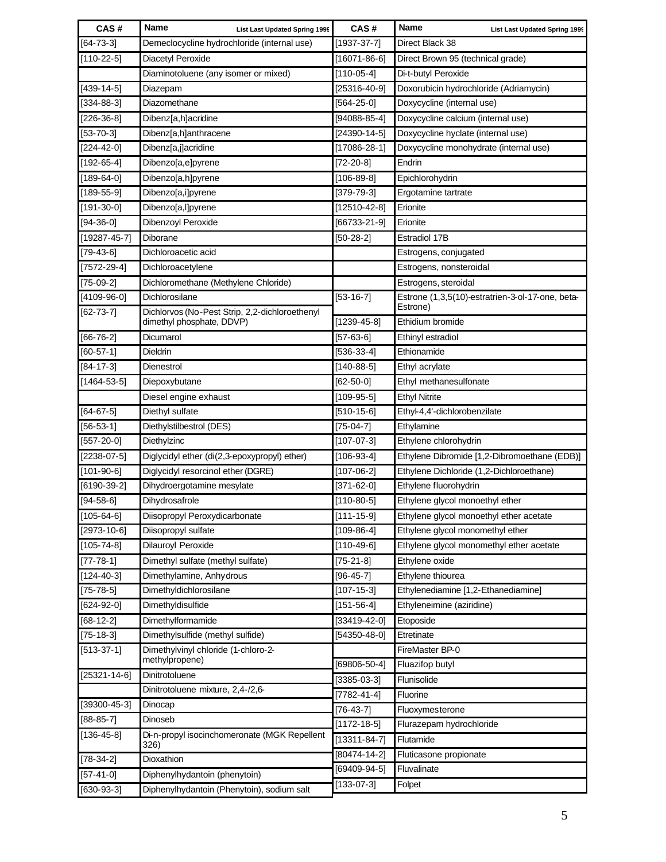| CAS#                             | <b>Name</b><br><b>List Last Updated Spring 1999</b>              | CAS#               | <b>Name</b>                         | <b>List Last Updated Spring 1999</b>             |
|----------------------------------|------------------------------------------------------------------|--------------------|-------------------------------------|--------------------------------------------------|
| $[64 - 73 - 3]$                  | Demeclocycline hydrochloride (internal use)                      | $[1937 - 37 - 7]$  | Direct Black 38                     |                                                  |
| $[110-22-5]$                     | Diacetyl Peroxide                                                | $[16071 - 86 - 6]$ | Direct Brown 95 (technical grade)   |                                                  |
|                                  | Diaminotoluene (any isomer or mixed)                             | $[110-05-4]$       | Di-t-butyl Peroxide                 |                                                  |
| $[439-14-5]$                     | Diazepam                                                         | $[25316 - 40 - 9]$ |                                     | Doxorubicin hydrochloride (Adriamycin)           |
| $[334-88-3]$                     | Diazomethane                                                     | $[564-25-0]$       | Doxycycline (internal use)          |                                                  |
| $[226-36-8]$                     | Dibenz[a,h]acridine                                              | $[94088-85-4]$     | Doxycycline calcium (internal use)  |                                                  |
| $[53 - 70 - 3]$                  | Dibenz[a,h]anthracene                                            | $[24390 - 14 - 5]$ | Doxycycline hyclate (internal use)  |                                                  |
| $[224 - 42 - 0]$                 | Dibenz[a,j]acridine                                              | $[17086 - 28 - 1]$ |                                     | Doxycycline monohydrate (internal use)           |
| $[192-65-4]$                     | Dibenzo[a,e]pyrene                                               | $[72-20-8]$        | Endrin                              |                                                  |
| $[189-64-0]$                     | Dibenzo[a,h]pyrene                                               | $[106 - 89 - 8]$   | Epichlorohydrin                     |                                                  |
| $[189 - 55 - 9]$                 | Dibenzo[a,i]pyrene                                               | $[379-79-3]$       | Ergotamine tartrate                 |                                                  |
| $[191 - 30 - 0]$                 | Dibenzo[a,l]pyrene                                               | $[12510 - 42 - 8]$ | Erionite                            |                                                  |
| $[94 - 36 - 0]$                  | Dibenzoyl Peroxide                                               | $[66733 - 21 - 9]$ | Erionite                            |                                                  |
| $[19287 - 45 - 7]$               | <b>Diborane</b>                                                  | $[50-28-2]$        | <b>Estradiol 17B</b>                |                                                  |
| $[79-43-6]$                      | Dichloroacetic acid                                              |                    | Estrogens, conjugated               |                                                  |
| $[7572-29-4]$                    | Dichloroacetylene                                                |                    | Estrogens, nonsteroidal             |                                                  |
| $[75-09-2]$                      | Dichloromethane (Methylene Chloride)                             |                    | Estrogens, steroidal                |                                                  |
| $[4109-96-0]$<br>$[62 - 73 - 7]$ | Dichlorosilane<br>Dichlorvos (No-Pest Strip, 2,2-dichloroethenyl | $[53-16-7]$        | Estrone)                            | Estrone (1,3,5(10)-estratrien-3-ol-17-one, beta- |
|                                  | dimethyl phosphate, DDVP)                                        | $[1239-45-8]$      | Ethidium bromide                    |                                                  |
| $[66 - 76 - 2]$                  | Dicumarol                                                        | $[57-63-6]$        | Ethinyl estradiol                   |                                                  |
| $[60 - 57 - 1]$                  | Dieldrin                                                         | $[536-33-4]$       | Ethionamide                         |                                                  |
| $[84 - 17 - 3]$                  | Dienestrol                                                       | $[140-88-5]$       | Ethyl acrylate                      |                                                  |
| $[1464 - 53 - 5]$                | Diepoxybutane                                                    | $[62 - 50 - 0]$    | Ethyl methanesulfonate              |                                                  |
|                                  | Diesel engine exhaust                                            | $[109-95-5]$       | <b>Ethyl Nitrite</b>                |                                                  |
| $[64 - 67 - 5]$                  | Diethyl sulfate                                                  | $[510-15-6]$       | Ethyl-4,4'-dichlorobenzilate        |                                                  |
| $[56 - 53 - 1]$                  | Diethylstilbestrol (DES)                                         | $[75-04-7]$        | Ethylamine                          |                                                  |
| $[557-20-0]$                     | Diethylzinc                                                      | $[107 - 07 - 3]$   | Ethylene chlorohydrin               |                                                  |
| $[2238-07-5]$                    | Diglycidyl ether (di(2,3-epoxypropyl) ether)                     | $[106-93-4]$       |                                     | Ethylene Dibromide [1,2-Dibromoethane (EDB)]     |
| $[101 - 90 - 6]$                 | Diglycidyl resorcinol ether (DGRE)                               | $[107 - 06 - 2]$   |                                     | Ethylene Dichloride (1,2-Dichloroethane)         |
| $[6190-39-2]$                    | Dihydroergotamine mesylate                                       | $[371 - 62 - 0]$   | Ethylene fluorohydrin               |                                                  |
| $[94 - 58 - 6]$                  | Dihydrosafrole                                                   | $[110-80-5]$       | Ethylene glycol monoethyl ether     |                                                  |
| $[105 - 64 - 6]$                 | Diisopropyl Peroxydicarbonate                                    | $[111 - 15 - 9]$   |                                     | Ethylene glycol monoethyl ether acetate          |
| $[2973 - 10 - 6]$                | Diisopropyl sulfate                                              | $[109-86-4]$       | Ethylene glycol monomethyl ether    |                                                  |
| $[105 - 74 - 8]$                 | Dilauroyl Peroxide                                               | $[110-49-6]$       |                                     | Ethylene glycol monomethyl ether acetate         |
| $[77 - 78 - 1]$                  | Dimethyl sulfate (methyl sulfate)                                | $[75-21-8]$        | Ethylene oxide                      |                                                  |
| $[124 - 40 - 3]$                 | Dimethylamine, Anhy drous                                        | $[96 - 45 - 7]$    | Ethylene thiourea                   |                                                  |
| $[75 - 78 - 5]$                  | Dimethyldichlorosilane                                           | $[107 - 15 - 3]$   | Ethylenediamine [1,2-Ethanediamine] |                                                  |
| $[624-92-0]$                     | Dimethyldisulfide                                                | $[151 - 56 - 4]$   | Ethyleneimine (aziridine)           |                                                  |
| $[68-12-2]$                      | Dimethylformamide                                                | $[33419-42-0]$     | Etoposide                           |                                                  |
| $[75-18-3]$                      | Dimethylsulfide (methyl sulfide)                                 | $[54350 - 48 - 0]$ | Etretinate                          |                                                  |
| $[513-37-1]$                     | Dimethylvinyl chloride (1-chloro-2-<br>methylpropene)            | [69806-50-4]       | FireMaster BP-0<br>Fluazifop butyl  |                                                  |
| $[25321 - 14 - 6]$               | Dinitrotoluene                                                   | $[3385 - 03 - 3]$  | Flunisolide                         |                                                  |
|                                  | Dinitrotoluene mixture, 2,4-/2,6-                                | $[7782 - 41 - 4]$  | Fluorine                            |                                                  |
| $[39300 - 45 - 3]$               | Dinocap                                                          | $[76-43-7]$        | Fluoxymesterone                     |                                                  |
| $[88 - 85 - 7]$                  | Dinoseb                                                          | $[1172 - 18 - 5]$  | Flurazepam hydrochloride            |                                                  |
| $[136 - 45 - 8]$                 | Di-n-propyl isocinchomeronate (MGK Repellent<br>326)             | $[13311 - 84 - 7]$ | Flutamide                           |                                                  |
| $[78-34-2]$                      | Dioxathion                                                       | [80474-14-2]       | Fluticasone propionate              |                                                  |
| $[57 - 41 - 0]$                  | Diphenylhydantoin (phenytoin)                                    | [69409-94-5]       | Fluvalinate                         |                                                  |
| $[630-93-3]$                     | Diphenylhydantoin (Phenytoin), sodium salt                       | $[133-07-3]$       | Folpet                              |                                                  |
|                                  |                                                                  |                    |                                     |                                                  |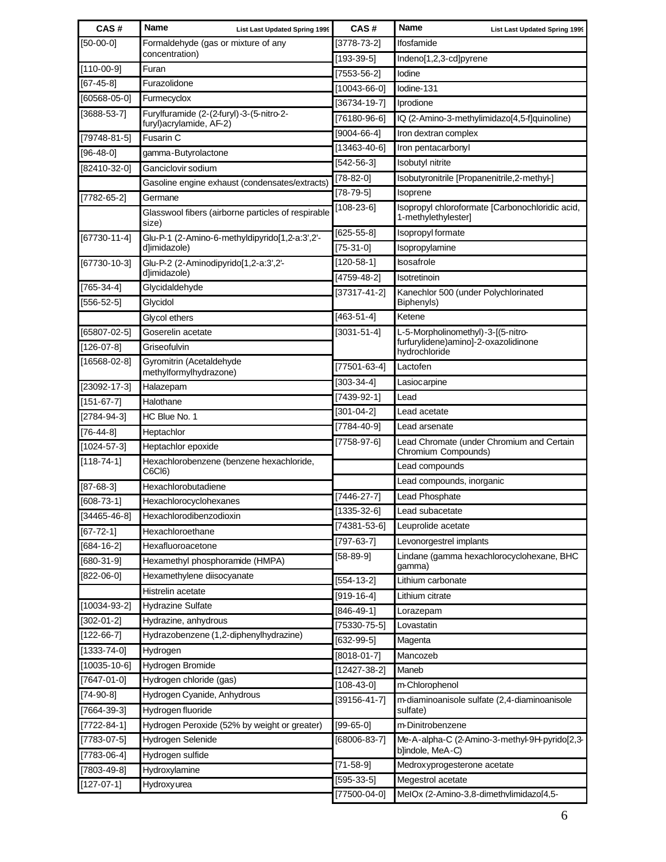| $[50-00-0]$<br>Formaldehyde (gas or mixture of any<br>[3778-73-2]<br>Ifosfamide<br>concentration)<br>$[193 - 39 - 5]$<br>Indeno[1,2,3-cd]pyrene<br>$[110-00-9]$<br>Furan<br>$[7553 - 56 - 2]$<br>lodine<br>$[67 - 45 - 8]$<br>Furazolidone<br>[10043-66-0]<br>lodine-131<br>$[60568 - 05 - 0]$<br>Furmecyclox<br>$[36734 - 19 - 7]$<br>Iprodione<br>$[3688-53-7]$<br>Furylfuramide (2-(2-furyl)-3-(5-nitro-2-<br>$[76180-96-6]$<br>IQ (2-Amino-3-methylimidazo[4,5-f]quinoline)<br>furyl) acrylamide, AF-2)<br>$[9004 - 66 - 4]$<br>Iron dextran complex<br>Fusarin C<br>$[13463 - 40 - 6]$<br>Iron pentacarbonyl<br>$[96 - 48 - 0]$<br>gamma-Butyrolactone<br>Isobutyl nitrite<br>$[542-56-3]$<br>Ganciclovir sodium<br>$[82410-32-0]$<br>$[78-82-0]$<br>Isobutyronitrile [Propanenitrile,2-methyl-]<br>Gasoline engine exhaust (condensates/extracts)<br>$[78-79-5]$<br>Isoprene<br>Germane<br>$[108 - 23 - 6]$<br>Isopropyl chloroformate [Carbonochloridic acid,<br>Glasswool fibers (airborne particles of respirable<br>1-methylethylester]<br>size)<br>$[625 - 55 - 8]$<br>Isopropyl formate<br>Glu-P-1 (2-Amino-6-methyldipyrido[1,2-a:3',2'-<br>d]imidazole)<br>$[75-31-0]$<br>Isopropylamine<br>$[120-58-1]$<br><b>Isosafrole</b><br>Glu-P-2 (2-Aminodipyrido[1,2-a:3',2'-<br>d]imidazole)<br>[4759-48-2]<br>Isotretinoin<br>Glycidaldehyde<br>$[765-34-4]$<br>$[37317 - 41 - 2]$<br>Kanechlor 500 (under Polychlorinated<br>Glycidol<br>Biphenyls)<br>$[463 - 51 - 4]$<br>Ketene<br>Glycol ethers<br>Goserelin acetate<br>$[3031 - 51 - 4]$<br>L-5-Morpholinomethyl)-3-[(5-nitro-<br>furfurylidene)amino]-2-oxazolidinone<br>Griseofulvin<br>hydrochloride<br>Gyromitrin (Acetaldehyde<br>$[77501 - 63 - 4]$<br>Lactofen<br>methylformylhydrazone)<br>$[303 - 34 - 4]$<br>Lasiocarpine<br>$[23092 - 17 - 3]$<br>Halazepam<br>[7439-92-1]<br>Lead<br>$[151-67-7]$<br>Halothane<br>$[301 - 04 - 2]$<br>Lead acetate<br>$[2784 - 94 - 3]$<br>HC Blue No. 1<br>[7784-40-9]<br>Lead arsenate<br>$\overline{76-44-8}$<br>Heptachlor<br>$[7758-97-6]$<br>Lead Chromate (under Chromium and Certain<br>$[1024 - 57 - 3]$<br>Heptachlor epoxide<br>Chromium Compounds)<br>$[118 - 74 - 1]$<br>Hexachlorobenzene (benzene hexachloride,<br>Lead compounds<br>C6Cl6)<br>Lead compounds, inorganic<br>$[87 - 68 - 3]$<br>Hexachlorobutadiene<br>Lead Phosphate<br>$[7446 - 27 - 7]$<br>Hexachlorocyclohexanes<br>$[1335 - 32 - 6]$<br>Lead subacetate<br>Hexachlorodibenzodioxin<br>[74381-53-6]<br>Leuprolide acetate<br>Hexachloroethane<br>$[797-63-7]$<br>Levonorgestrel implants<br>$[684 - 16 - 2]$<br>Hexafluoroacetone<br>Lindane (gamma hexachlorocyclohexane, BHC<br>$[58-89-9]$<br>Hexamethyl phosphoramide (HMPA)<br>gamma)<br>$[822-06-0]$<br>Hexamethylene diisocyanate<br>Lithium carbonate<br>$[554-13-2]$<br>Histrelin acetate<br>$[919-16-4]$<br>Lithium citrate<br><b>Hydrazine Sulfate</b><br>$[846 - 49 - 1]$<br>Lorazepam<br>$[302 - 01 - 2]$<br>Hydrazine, anhydrous<br>$[75330 - 75 - 5]$<br>Lovastatin<br>Hydrazobenzene (1,2-diphenylhydrazine)<br>$[632-99-5]$<br>Magenta<br>$[1333 - 74 - 0]$<br>Hydrogen<br>$[8018-01-7]$<br>Mancozeb<br>Hydrogen Bromide<br>$[12427 - 38 - 2]$<br>Maneb<br>Hydrogen chloride (gas)<br>$[108 - 43 - 0]$<br>m-Chlorophenol<br>Hydrogen Cyanide, Anhydrous<br>$[39156 - 41 - 7]$<br>m-diaminoanisole sulfate (2,4-diaminoanisole<br>Hydrogen fluoride<br>sulfate)<br>Hydrogen Peroxide (52% by weight or greater)<br>m-Dinitrobenzene<br>$[99-65-0]$<br>Hydrogen Selenide<br>$[68006-83-7]$<br>Me-A-alpha-C (2-Amino-3-methyl-9H-pyrido[2,3-<br>b]indole, MeA-C)<br>Hydrogen sulfide<br>$[7783 - 06 - 4]$<br>$[71 - 58 - 9]$<br>Medroxyprogesterone acetate<br>$[7803 - 49 - 8]$<br>Hydroxylamine | CAS#               | <b>Name</b><br>List Last Updated Spring 1999 | CAS#         | <b>Name</b><br><b>List Last Updated Spring 1999</b> |
|-------------------------------------------------------------------------------------------------------------------------------------------------------------------------------------------------------------------------------------------------------------------------------------------------------------------------------------------------------------------------------------------------------------------------------------------------------------------------------------------------------------------------------------------------------------------------------------------------------------------------------------------------------------------------------------------------------------------------------------------------------------------------------------------------------------------------------------------------------------------------------------------------------------------------------------------------------------------------------------------------------------------------------------------------------------------------------------------------------------------------------------------------------------------------------------------------------------------------------------------------------------------------------------------------------------------------------------------------------------------------------------------------------------------------------------------------------------------------------------------------------------------------------------------------------------------------------------------------------------------------------------------------------------------------------------------------------------------------------------------------------------------------------------------------------------------------------------------------------------------------------------------------------------------------------------------------------------------------------------------------------------------------------------------------------------------------------------------------------------------------------------------------------------------------------------------------------------------------------------------------------------------------------------------------------------------------------------------------------------------------------------------------------------------------------------------------------------------------------------------------------------------------------------------------------------------------------------------------------------------------------------------------------------------------------------------------------------------------------------------------------------------------------------------------------------------------------------------------------------------------------------------------------------------------------------------------------------------------------------------------------------------------------------------------------------------------------------------------------------------------------------------------------------------------------------------------------------------------------------------------------------------------------------------------------------------------------------------------------------------------------------------------------------------------------------------------------------------------------------------------------------------------------------------------------------------------------------------------------------------------------------------------------------------------------------------------------------------------------------------------------------|--------------------|----------------------------------------------|--------------|-----------------------------------------------------|
|                                                                                                                                                                                                                                                                                                                                                                                                                                                                                                                                                                                                                                                                                                                                                                                                                                                                                                                                                                                                                                                                                                                                                                                                                                                                                                                                                                                                                                                                                                                                                                                                                                                                                                                                                                                                                                                                                                                                                                                                                                                                                                                                                                                                                                                                                                                                                                                                                                                                                                                                                                                                                                                                                                                                                                                                                                                                                                                                                                                                                                                                                                                                                                                                                                                                                                                                                                                                                                                                                                                                                                                                                                                                                                                                                             |                    |                                              |              |                                                     |
|                                                                                                                                                                                                                                                                                                                                                                                                                                                                                                                                                                                                                                                                                                                                                                                                                                                                                                                                                                                                                                                                                                                                                                                                                                                                                                                                                                                                                                                                                                                                                                                                                                                                                                                                                                                                                                                                                                                                                                                                                                                                                                                                                                                                                                                                                                                                                                                                                                                                                                                                                                                                                                                                                                                                                                                                                                                                                                                                                                                                                                                                                                                                                                                                                                                                                                                                                                                                                                                                                                                                                                                                                                                                                                                                                             |                    |                                              |              |                                                     |
|                                                                                                                                                                                                                                                                                                                                                                                                                                                                                                                                                                                                                                                                                                                                                                                                                                                                                                                                                                                                                                                                                                                                                                                                                                                                                                                                                                                                                                                                                                                                                                                                                                                                                                                                                                                                                                                                                                                                                                                                                                                                                                                                                                                                                                                                                                                                                                                                                                                                                                                                                                                                                                                                                                                                                                                                                                                                                                                                                                                                                                                                                                                                                                                                                                                                                                                                                                                                                                                                                                                                                                                                                                                                                                                                                             |                    |                                              |              |                                                     |
|                                                                                                                                                                                                                                                                                                                                                                                                                                                                                                                                                                                                                                                                                                                                                                                                                                                                                                                                                                                                                                                                                                                                                                                                                                                                                                                                                                                                                                                                                                                                                                                                                                                                                                                                                                                                                                                                                                                                                                                                                                                                                                                                                                                                                                                                                                                                                                                                                                                                                                                                                                                                                                                                                                                                                                                                                                                                                                                                                                                                                                                                                                                                                                                                                                                                                                                                                                                                                                                                                                                                                                                                                                                                                                                                                             |                    |                                              |              |                                                     |
|                                                                                                                                                                                                                                                                                                                                                                                                                                                                                                                                                                                                                                                                                                                                                                                                                                                                                                                                                                                                                                                                                                                                                                                                                                                                                                                                                                                                                                                                                                                                                                                                                                                                                                                                                                                                                                                                                                                                                                                                                                                                                                                                                                                                                                                                                                                                                                                                                                                                                                                                                                                                                                                                                                                                                                                                                                                                                                                                                                                                                                                                                                                                                                                                                                                                                                                                                                                                                                                                                                                                                                                                                                                                                                                                                             |                    |                                              |              |                                                     |
|                                                                                                                                                                                                                                                                                                                                                                                                                                                                                                                                                                                                                                                                                                                                                                                                                                                                                                                                                                                                                                                                                                                                                                                                                                                                                                                                                                                                                                                                                                                                                                                                                                                                                                                                                                                                                                                                                                                                                                                                                                                                                                                                                                                                                                                                                                                                                                                                                                                                                                                                                                                                                                                                                                                                                                                                                                                                                                                                                                                                                                                                                                                                                                                                                                                                                                                                                                                                                                                                                                                                                                                                                                                                                                                                                             |                    |                                              |              |                                                     |
|                                                                                                                                                                                                                                                                                                                                                                                                                                                                                                                                                                                                                                                                                                                                                                                                                                                                                                                                                                                                                                                                                                                                                                                                                                                                                                                                                                                                                                                                                                                                                                                                                                                                                                                                                                                                                                                                                                                                                                                                                                                                                                                                                                                                                                                                                                                                                                                                                                                                                                                                                                                                                                                                                                                                                                                                                                                                                                                                                                                                                                                                                                                                                                                                                                                                                                                                                                                                                                                                                                                                                                                                                                                                                                                                                             | $[79748-81-5]$     |                                              |              |                                                     |
|                                                                                                                                                                                                                                                                                                                                                                                                                                                                                                                                                                                                                                                                                                                                                                                                                                                                                                                                                                                                                                                                                                                                                                                                                                                                                                                                                                                                                                                                                                                                                                                                                                                                                                                                                                                                                                                                                                                                                                                                                                                                                                                                                                                                                                                                                                                                                                                                                                                                                                                                                                                                                                                                                                                                                                                                                                                                                                                                                                                                                                                                                                                                                                                                                                                                                                                                                                                                                                                                                                                                                                                                                                                                                                                                                             |                    |                                              |              |                                                     |
|                                                                                                                                                                                                                                                                                                                                                                                                                                                                                                                                                                                                                                                                                                                                                                                                                                                                                                                                                                                                                                                                                                                                                                                                                                                                                                                                                                                                                                                                                                                                                                                                                                                                                                                                                                                                                                                                                                                                                                                                                                                                                                                                                                                                                                                                                                                                                                                                                                                                                                                                                                                                                                                                                                                                                                                                                                                                                                                                                                                                                                                                                                                                                                                                                                                                                                                                                                                                                                                                                                                                                                                                                                                                                                                                                             |                    |                                              |              |                                                     |
|                                                                                                                                                                                                                                                                                                                                                                                                                                                                                                                                                                                                                                                                                                                                                                                                                                                                                                                                                                                                                                                                                                                                                                                                                                                                                                                                                                                                                                                                                                                                                                                                                                                                                                                                                                                                                                                                                                                                                                                                                                                                                                                                                                                                                                                                                                                                                                                                                                                                                                                                                                                                                                                                                                                                                                                                                                                                                                                                                                                                                                                                                                                                                                                                                                                                                                                                                                                                                                                                                                                                                                                                                                                                                                                                                             |                    |                                              |              |                                                     |
|                                                                                                                                                                                                                                                                                                                                                                                                                                                                                                                                                                                                                                                                                                                                                                                                                                                                                                                                                                                                                                                                                                                                                                                                                                                                                                                                                                                                                                                                                                                                                                                                                                                                                                                                                                                                                                                                                                                                                                                                                                                                                                                                                                                                                                                                                                                                                                                                                                                                                                                                                                                                                                                                                                                                                                                                                                                                                                                                                                                                                                                                                                                                                                                                                                                                                                                                                                                                                                                                                                                                                                                                                                                                                                                                                             | $[7782 - 65 - 2]$  |                                              |              |                                                     |
|                                                                                                                                                                                                                                                                                                                                                                                                                                                                                                                                                                                                                                                                                                                                                                                                                                                                                                                                                                                                                                                                                                                                                                                                                                                                                                                                                                                                                                                                                                                                                                                                                                                                                                                                                                                                                                                                                                                                                                                                                                                                                                                                                                                                                                                                                                                                                                                                                                                                                                                                                                                                                                                                                                                                                                                                                                                                                                                                                                                                                                                                                                                                                                                                                                                                                                                                                                                                                                                                                                                                                                                                                                                                                                                                                             |                    |                                              |              |                                                     |
|                                                                                                                                                                                                                                                                                                                                                                                                                                                                                                                                                                                                                                                                                                                                                                                                                                                                                                                                                                                                                                                                                                                                                                                                                                                                                                                                                                                                                                                                                                                                                                                                                                                                                                                                                                                                                                                                                                                                                                                                                                                                                                                                                                                                                                                                                                                                                                                                                                                                                                                                                                                                                                                                                                                                                                                                                                                                                                                                                                                                                                                                                                                                                                                                                                                                                                                                                                                                                                                                                                                                                                                                                                                                                                                                                             | $[67730 - 11 - 4]$ |                                              |              |                                                     |
|                                                                                                                                                                                                                                                                                                                                                                                                                                                                                                                                                                                                                                                                                                                                                                                                                                                                                                                                                                                                                                                                                                                                                                                                                                                                                                                                                                                                                                                                                                                                                                                                                                                                                                                                                                                                                                                                                                                                                                                                                                                                                                                                                                                                                                                                                                                                                                                                                                                                                                                                                                                                                                                                                                                                                                                                                                                                                                                                                                                                                                                                                                                                                                                                                                                                                                                                                                                                                                                                                                                                                                                                                                                                                                                                                             |                    |                                              |              |                                                     |
|                                                                                                                                                                                                                                                                                                                                                                                                                                                                                                                                                                                                                                                                                                                                                                                                                                                                                                                                                                                                                                                                                                                                                                                                                                                                                                                                                                                                                                                                                                                                                                                                                                                                                                                                                                                                                                                                                                                                                                                                                                                                                                                                                                                                                                                                                                                                                                                                                                                                                                                                                                                                                                                                                                                                                                                                                                                                                                                                                                                                                                                                                                                                                                                                                                                                                                                                                                                                                                                                                                                                                                                                                                                                                                                                                             | $[67730-10-3]$     |                                              |              |                                                     |
|                                                                                                                                                                                                                                                                                                                                                                                                                                                                                                                                                                                                                                                                                                                                                                                                                                                                                                                                                                                                                                                                                                                                                                                                                                                                                                                                                                                                                                                                                                                                                                                                                                                                                                                                                                                                                                                                                                                                                                                                                                                                                                                                                                                                                                                                                                                                                                                                                                                                                                                                                                                                                                                                                                                                                                                                                                                                                                                                                                                                                                                                                                                                                                                                                                                                                                                                                                                                                                                                                                                                                                                                                                                                                                                                                             |                    |                                              |              |                                                     |
|                                                                                                                                                                                                                                                                                                                                                                                                                                                                                                                                                                                                                                                                                                                                                                                                                                                                                                                                                                                                                                                                                                                                                                                                                                                                                                                                                                                                                                                                                                                                                                                                                                                                                                                                                                                                                                                                                                                                                                                                                                                                                                                                                                                                                                                                                                                                                                                                                                                                                                                                                                                                                                                                                                                                                                                                                                                                                                                                                                                                                                                                                                                                                                                                                                                                                                                                                                                                                                                                                                                                                                                                                                                                                                                                                             | $[556-52-5]$       |                                              |              |                                                     |
|                                                                                                                                                                                                                                                                                                                                                                                                                                                                                                                                                                                                                                                                                                                                                                                                                                                                                                                                                                                                                                                                                                                                                                                                                                                                                                                                                                                                                                                                                                                                                                                                                                                                                                                                                                                                                                                                                                                                                                                                                                                                                                                                                                                                                                                                                                                                                                                                                                                                                                                                                                                                                                                                                                                                                                                                                                                                                                                                                                                                                                                                                                                                                                                                                                                                                                                                                                                                                                                                                                                                                                                                                                                                                                                                                             |                    |                                              |              |                                                     |
|                                                                                                                                                                                                                                                                                                                                                                                                                                                                                                                                                                                                                                                                                                                                                                                                                                                                                                                                                                                                                                                                                                                                                                                                                                                                                                                                                                                                                                                                                                                                                                                                                                                                                                                                                                                                                                                                                                                                                                                                                                                                                                                                                                                                                                                                                                                                                                                                                                                                                                                                                                                                                                                                                                                                                                                                                                                                                                                                                                                                                                                                                                                                                                                                                                                                                                                                                                                                                                                                                                                                                                                                                                                                                                                                                             | [65807-02-5]       |                                              |              |                                                     |
|                                                                                                                                                                                                                                                                                                                                                                                                                                                                                                                                                                                                                                                                                                                                                                                                                                                                                                                                                                                                                                                                                                                                                                                                                                                                                                                                                                                                                                                                                                                                                                                                                                                                                                                                                                                                                                                                                                                                                                                                                                                                                                                                                                                                                                                                                                                                                                                                                                                                                                                                                                                                                                                                                                                                                                                                                                                                                                                                                                                                                                                                                                                                                                                                                                                                                                                                                                                                                                                                                                                                                                                                                                                                                                                                                             | $[126-07-8]$       |                                              |              |                                                     |
|                                                                                                                                                                                                                                                                                                                                                                                                                                                                                                                                                                                                                                                                                                                                                                                                                                                                                                                                                                                                                                                                                                                                                                                                                                                                                                                                                                                                                                                                                                                                                                                                                                                                                                                                                                                                                                                                                                                                                                                                                                                                                                                                                                                                                                                                                                                                                                                                                                                                                                                                                                                                                                                                                                                                                                                                                                                                                                                                                                                                                                                                                                                                                                                                                                                                                                                                                                                                                                                                                                                                                                                                                                                                                                                                                             | $[16568-02-8]$     |                                              |              |                                                     |
|                                                                                                                                                                                                                                                                                                                                                                                                                                                                                                                                                                                                                                                                                                                                                                                                                                                                                                                                                                                                                                                                                                                                                                                                                                                                                                                                                                                                                                                                                                                                                                                                                                                                                                                                                                                                                                                                                                                                                                                                                                                                                                                                                                                                                                                                                                                                                                                                                                                                                                                                                                                                                                                                                                                                                                                                                                                                                                                                                                                                                                                                                                                                                                                                                                                                                                                                                                                                                                                                                                                                                                                                                                                                                                                                                             |                    |                                              |              |                                                     |
|                                                                                                                                                                                                                                                                                                                                                                                                                                                                                                                                                                                                                                                                                                                                                                                                                                                                                                                                                                                                                                                                                                                                                                                                                                                                                                                                                                                                                                                                                                                                                                                                                                                                                                                                                                                                                                                                                                                                                                                                                                                                                                                                                                                                                                                                                                                                                                                                                                                                                                                                                                                                                                                                                                                                                                                                                                                                                                                                                                                                                                                                                                                                                                                                                                                                                                                                                                                                                                                                                                                                                                                                                                                                                                                                                             |                    |                                              |              |                                                     |
|                                                                                                                                                                                                                                                                                                                                                                                                                                                                                                                                                                                                                                                                                                                                                                                                                                                                                                                                                                                                                                                                                                                                                                                                                                                                                                                                                                                                                                                                                                                                                                                                                                                                                                                                                                                                                                                                                                                                                                                                                                                                                                                                                                                                                                                                                                                                                                                                                                                                                                                                                                                                                                                                                                                                                                                                                                                                                                                                                                                                                                                                                                                                                                                                                                                                                                                                                                                                                                                                                                                                                                                                                                                                                                                                                             |                    |                                              |              |                                                     |
|                                                                                                                                                                                                                                                                                                                                                                                                                                                                                                                                                                                                                                                                                                                                                                                                                                                                                                                                                                                                                                                                                                                                                                                                                                                                                                                                                                                                                                                                                                                                                                                                                                                                                                                                                                                                                                                                                                                                                                                                                                                                                                                                                                                                                                                                                                                                                                                                                                                                                                                                                                                                                                                                                                                                                                                                                                                                                                                                                                                                                                                                                                                                                                                                                                                                                                                                                                                                                                                                                                                                                                                                                                                                                                                                                             |                    |                                              |              |                                                     |
|                                                                                                                                                                                                                                                                                                                                                                                                                                                                                                                                                                                                                                                                                                                                                                                                                                                                                                                                                                                                                                                                                                                                                                                                                                                                                                                                                                                                                                                                                                                                                                                                                                                                                                                                                                                                                                                                                                                                                                                                                                                                                                                                                                                                                                                                                                                                                                                                                                                                                                                                                                                                                                                                                                                                                                                                                                                                                                                                                                                                                                                                                                                                                                                                                                                                                                                                                                                                                                                                                                                                                                                                                                                                                                                                                             |                    |                                              |              |                                                     |
|                                                                                                                                                                                                                                                                                                                                                                                                                                                                                                                                                                                                                                                                                                                                                                                                                                                                                                                                                                                                                                                                                                                                                                                                                                                                                                                                                                                                                                                                                                                                                                                                                                                                                                                                                                                                                                                                                                                                                                                                                                                                                                                                                                                                                                                                                                                                                                                                                                                                                                                                                                                                                                                                                                                                                                                                                                                                                                                                                                                                                                                                                                                                                                                                                                                                                                                                                                                                                                                                                                                                                                                                                                                                                                                                                             |                    |                                              |              |                                                     |
|                                                                                                                                                                                                                                                                                                                                                                                                                                                                                                                                                                                                                                                                                                                                                                                                                                                                                                                                                                                                                                                                                                                                                                                                                                                                                                                                                                                                                                                                                                                                                                                                                                                                                                                                                                                                                                                                                                                                                                                                                                                                                                                                                                                                                                                                                                                                                                                                                                                                                                                                                                                                                                                                                                                                                                                                                                                                                                                                                                                                                                                                                                                                                                                                                                                                                                                                                                                                                                                                                                                                                                                                                                                                                                                                                             |                    |                                              |              |                                                     |
|                                                                                                                                                                                                                                                                                                                                                                                                                                                                                                                                                                                                                                                                                                                                                                                                                                                                                                                                                                                                                                                                                                                                                                                                                                                                                                                                                                                                                                                                                                                                                                                                                                                                                                                                                                                                                                                                                                                                                                                                                                                                                                                                                                                                                                                                                                                                                                                                                                                                                                                                                                                                                                                                                                                                                                                                                                                                                                                                                                                                                                                                                                                                                                                                                                                                                                                                                                                                                                                                                                                                                                                                                                                                                                                                                             |                    |                                              |              |                                                     |
|                                                                                                                                                                                                                                                                                                                                                                                                                                                                                                                                                                                                                                                                                                                                                                                                                                                                                                                                                                                                                                                                                                                                                                                                                                                                                                                                                                                                                                                                                                                                                                                                                                                                                                                                                                                                                                                                                                                                                                                                                                                                                                                                                                                                                                                                                                                                                                                                                                                                                                                                                                                                                                                                                                                                                                                                                                                                                                                                                                                                                                                                                                                                                                                                                                                                                                                                                                                                                                                                                                                                                                                                                                                                                                                                                             | $[608 - 73 - 1]$   |                                              |              |                                                     |
|                                                                                                                                                                                                                                                                                                                                                                                                                                                                                                                                                                                                                                                                                                                                                                                                                                                                                                                                                                                                                                                                                                                                                                                                                                                                                                                                                                                                                                                                                                                                                                                                                                                                                                                                                                                                                                                                                                                                                                                                                                                                                                                                                                                                                                                                                                                                                                                                                                                                                                                                                                                                                                                                                                                                                                                                                                                                                                                                                                                                                                                                                                                                                                                                                                                                                                                                                                                                                                                                                                                                                                                                                                                                                                                                                             | $[34465 - 46 - 8]$ |                                              |              |                                                     |
|                                                                                                                                                                                                                                                                                                                                                                                                                                                                                                                                                                                                                                                                                                                                                                                                                                                                                                                                                                                                                                                                                                                                                                                                                                                                                                                                                                                                                                                                                                                                                                                                                                                                                                                                                                                                                                                                                                                                                                                                                                                                                                                                                                                                                                                                                                                                                                                                                                                                                                                                                                                                                                                                                                                                                                                                                                                                                                                                                                                                                                                                                                                                                                                                                                                                                                                                                                                                                                                                                                                                                                                                                                                                                                                                                             | $[67 - 72 - 1]$    |                                              |              |                                                     |
|                                                                                                                                                                                                                                                                                                                                                                                                                                                                                                                                                                                                                                                                                                                                                                                                                                                                                                                                                                                                                                                                                                                                                                                                                                                                                                                                                                                                                                                                                                                                                                                                                                                                                                                                                                                                                                                                                                                                                                                                                                                                                                                                                                                                                                                                                                                                                                                                                                                                                                                                                                                                                                                                                                                                                                                                                                                                                                                                                                                                                                                                                                                                                                                                                                                                                                                                                                                                                                                                                                                                                                                                                                                                                                                                                             |                    |                                              |              |                                                     |
|                                                                                                                                                                                                                                                                                                                                                                                                                                                                                                                                                                                                                                                                                                                                                                                                                                                                                                                                                                                                                                                                                                                                                                                                                                                                                                                                                                                                                                                                                                                                                                                                                                                                                                                                                                                                                                                                                                                                                                                                                                                                                                                                                                                                                                                                                                                                                                                                                                                                                                                                                                                                                                                                                                                                                                                                                                                                                                                                                                                                                                                                                                                                                                                                                                                                                                                                                                                                                                                                                                                                                                                                                                                                                                                                                             | $[680-31-9]$       |                                              |              |                                                     |
|                                                                                                                                                                                                                                                                                                                                                                                                                                                                                                                                                                                                                                                                                                                                                                                                                                                                                                                                                                                                                                                                                                                                                                                                                                                                                                                                                                                                                                                                                                                                                                                                                                                                                                                                                                                                                                                                                                                                                                                                                                                                                                                                                                                                                                                                                                                                                                                                                                                                                                                                                                                                                                                                                                                                                                                                                                                                                                                                                                                                                                                                                                                                                                                                                                                                                                                                                                                                                                                                                                                                                                                                                                                                                                                                                             |                    |                                              |              |                                                     |
|                                                                                                                                                                                                                                                                                                                                                                                                                                                                                                                                                                                                                                                                                                                                                                                                                                                                                                                                                                                                                                                                                                                                                                                                                                                                                                                                                                                                                                                                                                                                                                                                                                                                                                                                                                                                                                                                                                                                                                                                                                                                                                                                                                                                                                                                                                                                                                                                                                                                                                                                                                                                                                                                                                                                                                                                                                                                                                                                                                                                                                                                                                                                                                                                                                                                                                                                                                                                                                                                                                                                                                                                                                                                                                                                                             |                    |                                              |              |                                                     |
|                                                                                                                                                                                                                                                                                                                                                                                                                                                                                                                                                                                                                                                                                                                                                                                                                                                                                                                                                                                                                                                                                                                                                                                                                                                                                                                                                                                                                                                                                                                                                                                                                                                                                                                                                                                                                                                                                                                                                                                                                                                                                                                                                                                                                                                                                                                                                                                                                                                                                                                                                                                                                                                                                                                                                                                                                                                                                                                                                                                                                                                                                                                                                                                                                                                                                                                                                                                                                                                                                                                                                                                                                                                                                                                                                             | $[10034 - 93 - 2]$ |                                              |              |                                                     |
|                                                                                                                                                                                                                                                                                                                                                                                                                                                                                                                                                                                                                                                                                                                                                                                                                                                                                                                                                                                                                                                                                                                                                                                                                                                                                                                                                                                                                                                                                                                                                                                                                                                                                                                                                                                                                                                                                                                                                                                                                                                                                                                                                                                                                                                                                                                                                                                                                                                                                                                                                                                                                                                                                                                                                                                                                                                                                                                                                                                                                                                                                                                                                                                                                                                                                                                                                                                                                                                                                                                                                                                                                                                                                                                                                             |                    |                                              |              |                                                     |
|                                                                                                                                                                                                                                                                                                                                                                                                                                                                                                                                                                                                                                                                                                                                                                                                                                                                                                                                                                                                                                                                                                                                                                                                                                                                                                                                                                                                                                                                                                                                                                                                                                                                                                                                                                                                                                                                                                                                                                                                                                                                                                                                                                                                                                                                                                                                                                                                                                                                                                                                                                                                                                                                                                                                                                                                                                                                                                                                                                                                                                                                                                                                                                                                                                                                                                                                                                                                                                                                                                                                                                                                                                                                                                                                                             | $[122-66-7]$       |                                              |              |                                                     |
|                                                                                                                                                                                                                                                                                                                                                                                                                                                                                                                                                                                                                                                                                                                                                                                                                                                                                                                                                                                                                                                                                                                                                                                                                                                                                                                                                                                                                                                                                                                                                                                                                                                                                                                                                                                                                                                                                                                                                                                                                                                                                                                                                                                                                                                                                                                                                                                                                                                                                                                                                                                                                                                                                                                                                                                                                                                                                                                                                                                                                                                                                                                                                                                                                                                                                                                                                                                                                                                                                                                                                                                                                                                                                                                                                             |                    |                                              |              |                                                     |
|                                                                                                                                                                                                                                                                                                                                                                                                                                                                                                                                                                                                                                                                                                                                                                                                                                                                                                                                                                                                                                                                                                                                                                                                                                                                                                                                                                                                                                                                                                                                                                                                                                                                                                                                                                                                                                                                                                                                                                                                                                                                                                                                                                                                                                                                                                                                                                                                                                                                                                                                                                                                                                                                                                                                                                                                                                                                                                                                                                                                                                                                                                                                                                                                                                                                                                                                                                                                                                                                                                                                                                                                                                                                                                                                                             | $[10035 - 10 - 6]$ |                                              |              |                                                     |
|                                                                                                                                                                                                                                                                                                                                                                                                                                                                                                                                                                                                                                                                                                                                                                                                                                                                                                                                                                                                                                                                                                                                                                                                                                                                                                                                                                                                                                                                                                                                                                                                                                                                                                                                                                                                                                                                                                                                                                                                                                                                                                                                                                                                                                                                                                                                                                                                                                                                                                                                                                                                                                                                                                                                                                                                                                                                                                                                                                                                                                                                                                                                                                                                                                                                                                                                                                                                                                                                                                                                                                                                                                                                                                                                                             | $[7647 - 01 - 0]$  |                                              |              |                                                     |
|                                                                                                                                                                                                                                                                                                                                                                                                                                                                                                                                                                                                                                                                                                                                                                                                                                                                                                                                                                                                                                                                                                                                                                                                                                                                                                                                                                                                                                                                                                                                                                                                                                                                                                                                                                                                                                                                                                                                                                                                                                                                                                                                                                                                                                                                                                                                                                                                                                                                                                                                                                                                                                                                                                                                                                                                                                                                                                                                                                                                                                                                                                                                                                                                                                                                                                                                                                                                                                                                                                                                                                                                                                                                                                                                                             | $[74-90-8]$        |                                              |              |                                                     |
|                                                                                                                                                                                                                                                                                                                                                                                                                                                                                                                                                                                                                                                                                                                                                                                                                                                                                                                                                                                                                                                                                                                                                                                                                                                                                                                                                                                                                                                                                                                                                                                                                                                                                                                                                                                                                                                                                                                                                                                                                                                                                                                                                                                                                                                                                                                                                                                                                                                                                                                                                                                                                                                                                                                                                                                                                                                                                                                                                                                                                                                                                                                                                                                                                                                                                                                                                                                                                                                                                                                                                                                                                                                                                                                                                             | $[7664 - 39 - 3]$  |                                              |              |                                                     |
|                                                                                                                                                                                                                                                                                                                                                                                                                                                                                                                                                                                                                                                                                                                                                                                                                                                                                                                                                                                                                                                                                                                                                                                                                                                                                                                                                                                                                                                                                                                                                                                                                                                                                                                                                                                                                                                                                                                                                                                                                                                                                                                                                                                                                                                                                                                                                                                                                                                                                                                                                                                                                                                                                                                                                                                                                                                                                                                                                                                                                                                                                                                                                                                                                                                                                                                                                                                                                                                                                                                                                                                                                                                                                                                                                             | $[7722 - 84 - 1]$  |                                              |              |                                                     |
|                                                                                                                                                                                                                                                                                                                                                                                                                                                                                                                                                                                                                                                                                                                                                                                                                                                                                                                                                                                                                                                                                                                                                                                                                                                                                                                                                                                                                                                                                                                                                                                                                                                                                                                                                                                                                                                                                                                                                                                                                                                                                                                                                                                                                                                                                                                                                                                                                                                                                                                                                                                                                                                                                                                                                                                                                                                                                                                                                                                                                                                                                                                                                                                                                                                                                                                                                                                                                                                                                                                                                                                                                                                                                                                                                             | $[7783-07-5]$      |                                              |              |                                                     |
|                                                                                                                                                                                                                                                                                                                                                                                                                                                                                                                                                                                                                                                                                                                                                                                                                                                                                                                                                                                                                                                                                                                                                                                                                                                                                                                                                                                                                                                                                                                                                                                                                                                                                                                                                                                                                                                                                                                                                                                                                                                                                                                                                                                                                                                                                                                                                                                                                                                                                                                                                                                                                                                                                                                                                                                                                                                                                                                                                                                                                                                                                                                                                                                                                                                                                                                                                                                                                                                                                                                                                                                                                                                                                                                                                             |                    |                                              |              |                                                     |
|                                                                                                                                                                                                                                                                                                                                                                                                                                                                                                                                                                                                                                                                                                                                                                                                                                                                                                                                                                                                                                                                                                                                                                                                                                                                                                                                                                                                                                                                                                                                                                                                                                                                                                                                                                                                                                                                                                                                                                                                                                                                                                                                                                                                                                                                                                                                                                                                                                                                                                                                                                                                                                                                                                                                                                                                                                                                                                                                                                                                                                                                                                                                                                                                                                                                                                                                                                                                                                                                                                                                                                                                                                                                                                                                                             |                    |                                              | $[595-33-5]$ | Megestrol acetate                                   |
| <b>Hydroxy urea</b><br>$[77500 - 04 - 0]$<br>MeIQx (2-Amino-3.8-dimethvlimidazol4.5-                                                                                                                                                                                                                                                                                                                                                                                                                                                                                                                                                                                                                                                                                                                                                                                                                                                                                                                                                                                                                                                                                                                                                                                                                                                                                                                                                                                                                                                                                                                                                                                                                                                                                                                                                                                                                                                                                                                                                                                                                                                                                                                                                                                                                                                                                                                                                                                                                                                                                                                                                                                                                                                                                                                                                                                                                                                                                                                                                                                                                                                                                                                                                                                                                                                                                                                                                                                                                                                                                                                                                                                                                                                                        | $[127-07-1]$       |                                              |              |                                                     |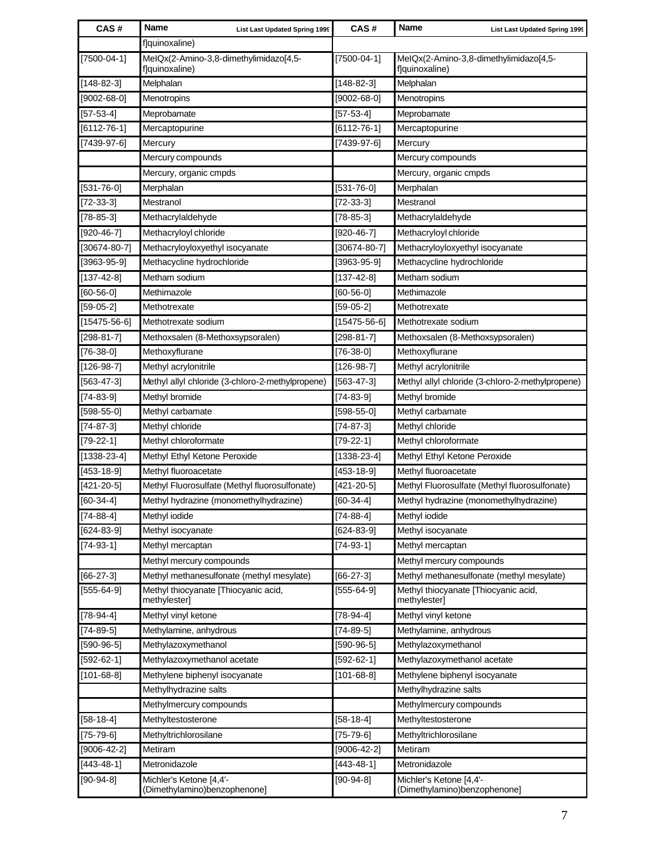| CAS#               | <b>Name</b>                                              | <b>List Last Updated Spring 1999</b> | CAS#               | Name<br><b>List Last Updated Spring 1999</b>             |
|--------------------|----------------------------------------------------------|--------------------------------------|--------------------|----------------------------------------------------------|
|                    | flquinoxaline)                                           |                                      |                    |                                                          |
| $[7500-04-1]$      | MeIQx(2-Amino-3,8-dimethylimidazo[4,5-<br>f]quinoxaline) |                                      | $[7500-04-1]$      | MeIQx(2-Amino-3,8-dimethylimidazo[4,5-<br>f]quinoxaline) |
| $[148 - 82 - 3]$   | Melphalan                                                |                                      | $[148-82-3]$       | Melphalan                                                |
| $[9002 - 68 - 0]$  | Menotropins                                              |                                      | $[9002 - 68 - 0]$  | Menotropins                                              |
| $[57-53-4]$        | Meprobamate                                              |                                      | $[57 - 53 - 4]$    | Meprobamate                                              |
| $[6112 - 76 - 1]$  | Mercaptopurine                                           |                                      | $[6112 - 76 - 1]$  | Mercaptopurine                                           |
| $[7439-97-6]$      | Mercury                                                  |                                      | $[7439-97-6]$      | Mercury                                                  |
|                    | Mercury compounds                                        |                                      |                    | Mercury compounds                                        |
|                    | Mercury, organic cmpds                                   |                                      |                    | Mercury, organic cmpds                                   |
| $[531 - 76 - 0]$   | Merphalan                                                |                                      | $[531 - 76 - 0]$   | Merphalan                                                |
| $[72-33-3]$        | Mestranol                                                |                                      | $[72-33-3]$        | Mestranol                                                |
| $[78 - 85 - 3]$    | Methacrylaldehyde                                        |                                      | $[78-85-3]$        | Methacrylaldehyde                                        |
| $[920-46-7]$       | Methacryloyl chloride                                    |                                      | $[920-46-7]$       | Methacryloyl chloride                                    |
| $[30674 - 80 - 7]$ | Methacryloyloxyethyl isocyanate                          |                                      | $[30674 - 80 - 7]$ | Methacryloyloxyethyl isocyanate                          |
| $[3963 - 95 - 9]$  | Methacycline hydrochloride                               |                                      | $[3963 - 95 - 9]$  | Methacycline hydrochloride                               |
| $[137 - 42 - 8]$   | Metham sodium                                            |                                      | $[137 - 42 - 8]$   | Metham sodium                                            |
| $[60 - 56 - 0]$    | Methimazole                                              |                                      | $[60 - 56 - 0]$    | Methimazole                                              |
| $[59-05-2]$        | Methotrexate                                             |                                      | $[59-05-2]$        | Methotrexate                                             |
| $[15475 - 56 - 6]$ | Methotrexate sodium                                      |                                      | $[15475 - 56 - 6]$ | Methotrexate sodium                                      |
| $[298-81-7]$       | Methoxsalen (8-Methoxsypsoralen)                         |                                      | $[298-81-7]$       | Methoxsalen (8-Methoxsypsoralen)                         |
| $[76-38-0]$        | Methoxyflurane                                           |                                      | $[76-38-0]$        | Methoxyflurane                                           |
| $[126-98-7]$       | Methyl acrylonitrile                                     |                                      | $[126-98-7]$       | Methyl acrylonitrile                                     |
| $[563 - 47 - 3]$   | Methyl allyl chloride (3-chloro-2-methylpropene)         |                                      | $[563-47-3]$       | Methyl allyl chloride (3-chloro-2-methylpropene)         |
| $[74-83-9]$        | Methyl bromide                                           |                                      | $[74-83-9]$        | Methyl bromide                                           |
| $[598-55-0]$       | Methyl carbamate                                         |                                      | $[598-55-0]$       | Methyl carbamate                                         |
| $[74 - 87 - 3]$    | Methyl chloride                                          |                                      | $[74-87-3]$        | Methyl chloride                                          |
| $[79-22-1]$        | Methyl chloroformate                                     |                                      | $[79-22-1]$        | Methyl chloroformate                                     |
| $[1338 - 23 - 4]$  | Methyl Ethyl Ketone Peroxide                             |                                      | $[1338 - 23 - 4]$  | Methyl Ethyl Ketone Peroxide                             |
| $[453 - 18 - 9]$   | Methyl fluoroacetate                                     |                                      | $[453 - 18 - 9]$   | Methyl fluoroacetate                                     |
| $[421 - 20 - 5]$   | Methyl Fluorosulfate (Methyl fluorosulfonate)            |                                      | $[421 - 20 - 5]$   | Methyl Fluorosulfate (Methyl fluorosulfonate)            |
| $[60-34-4]$        | Methyl hydrazine (monomethylhydrazine)                   |                                      | $[60-34-4]$        | Methyl hydrazine (monomethylhydrazine)                   |
| $[74-88-4]$        | Methyl iodide                                            |                                      | $[74-88-4]$        | Methyl iodide                                            |
| $[624-83-9]$       | Methyl isocyanate                                        |                                      | $[624-83-9]$       | Methyl isocyanate                                        |
| $[74-93-1]$        | Methyl mercaptan                                         |                                      | $[74-93-1]$        | Methyl mercaptan                                         |
|                    | Methyl mercury compounds                                 |                                      |                    | Methyl mercury compounds                                 |
| $[66 - 27 - 3]$    | Methyl methanesulfonate (methyl mesylate)                |                                      | $[66-27-3]$        | Methyl methanesulfonate (methyl mesylate)                |
| $[555-64-9]$       | Methyl thiocyanate [Thiocyanic acid,<br>methylester]     |                                      | $[555-64-9]$       | Methyl thiocyanate [Thiocyanic acid,<br>methylester]     |
| $[78-94-4]$        | Methyl vinyl ketone                                      |                                      | $[78-94-4]$        | Methyl vinyl ketone                                      |
| $[74-89-5]$        | Methylamine, anhydrous                                   |                                      | $[74-89-5]$        | Methylamine, anhydrous                                   |
| $[590-96-5]$       | Methylazoxymethanol                                      |                                      | $[590-96-5]$       | Methylazoxymethanol                                      |
| $[592-62-1]$       | Methylazoxymethanol acetate                              |                                      | $[592-62-1]$       | Methylazoxymethanol acetate                              |
| $[101 - 68 - 8]$   | Methylene biphenyl isocyanate                            |                                      | $[101 - 68 - 8]$   | Methylene biphenyl isocyanate                            |
|                    | Methylhydrazine salts                                    |                                      |                    | Methylhydrazine salts                                    |
|                    | Methylmercury compounds                                  |                                      |                    | Methylmercury compounds                                  |
| $[58 - 18 - 4]$    | Methyltestosterone                                       |                                      | $[58-18-4]$        | Methyltestosterone                                       |
| $[75 - 79 - 6]$    | Methyltrichlorosilane                                    |                                      | $[75 - 79 - 6]$    | Methyltrichlorosilane                                    |
| $[9006 - 42 - 2]$  | Metiram                                                  |                                      | $[9006-42-2]$      | Metiram                                                  |
| $[443 - 48 - 1]$   | Metronidazole                                            |                                      | $[443 - 48 - 1]$   | Metronidazole                                            |
| $[90-94-8]$        | Michler's Ketone [4,4'-<br>(Dimethylamino)benzophenone]  |                                      | $[90-94-8]$        | Michler's Ketone [4,4'-<br>(Dimethylamino)benzophenone]  |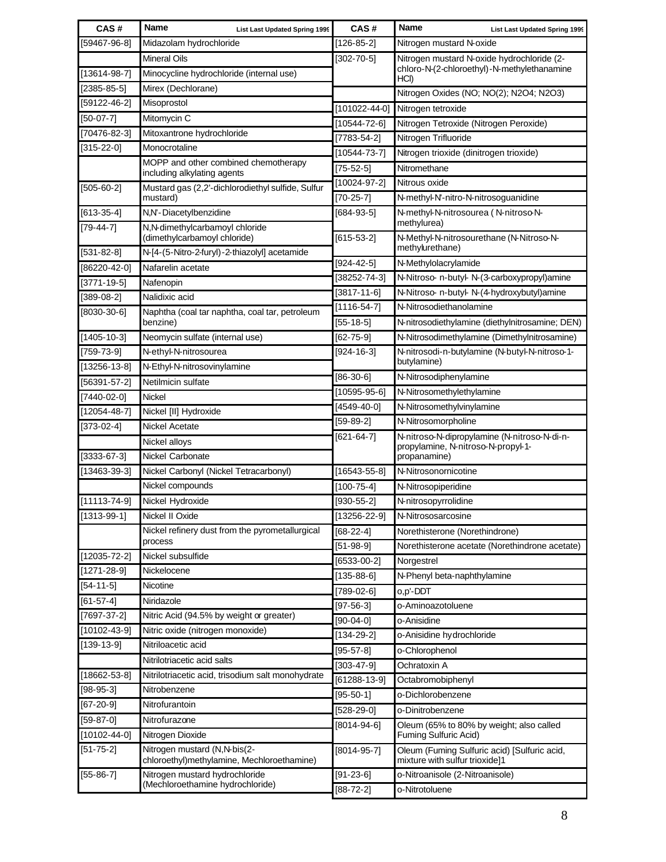| CAS#               | <b>Name</b><br><b>List Last Updated Spring 1999</b>                           | CAS#                | <b>Name</b><br><b>List Last Updated Spring 1999</b>                            |
|--------------------|-------------------------------------------------------------------------------|---------------------|--------------------------------------------------------------------------------|
| [59467-96-8]       | Midazolam hydrochloride                                                       | $[126-85-2]$        | Nitrogen mustard N-oxide                                                       |
|                    | <b>Mineral Oils</b>                                                           | $[302 - 70 - 5]$    | Nitrogen mustard N-oxide hydrochloride (2-                                     |
| $[13614-98-7]$     | Minocycline hydrochloride (internal use)                                      |                     | chloro-N-(2-chloroethyl)-N-methylethanamine<br>HCI)                            |
| $[2385 - 85 - 5]$  | Mirex (Dechlorane)                                                            |                     | Nitrogen Oxides (NO; NO(2); N2O4; N2O3)                                        |
| [59122-46-2]       | Misoprostol                                                                   | $[101022 - 44 - 0]$ | Nitrogen tetroxide                                                             |
| $[50-07-7]$        | Mitomycin C                                                                   | [10544-72-6]        | Nitrogen Tetroxide (Nitrogen Peroxide)                                         |
| [70476-82-3]       | Mitoxantrone hydrochloride                                                    | $[7783 - 54 - 2]$   | Nitrogen Trifluoride                                                           |
| $[315 - 22 - 0]$   | Monocrotaline                                                                 | $[10544 - 73 - 7]$  | Nitrogen trioxide (dinitrogen trioxide)                                        |
|                    | MOPP and other combined chemotherapy                                          | $[75-52-5]$         | Nitromethane                                                                   |
|                    | including alkylating agents                                                   | $[10024-97-2]$      | Nitrous oxide                                                                  |
| $[505 - 60 - 2]$   | Mustard gas (2,2'-dichlorodiethyl sulfide, Sulfur<br>mustard)                 | $[70-25-7]$         | N-methyl-N'-nitro-N-nitrosoguanidine                                           |
| $[613-35-4]$       | N,N'-Diacetylbenzidine                                                        | $[684-93-5]$        | N-methyl-N-nitrosourea (N-nitroso-N-                                           |
| $[79-44-7]$        | N,N-dimethylcarbamoyl chloride                                                |                     | methylurea)                                                                    |
| $[531 - 82 - 8]$   | (dimethylcarbamoyl chloride)<br>N-[4-(5-Nitro-2-furyl)-2-thiazolyl] acetamide | $[615 - 53 - 2]$    | N-Methyl-N-nitrosourethane (N-Nitroso-N-<br>methylurethane)                    |
| $[86220 - 42 - 0]$ | Nafarelin acetate                                                             | $[924 - 42 - 5]$    | N-Methylolacrylamide                                                           |
| $[3771 - 19 - 5]$  | Nafenopin                                                                     | [38252-74-3]        | N-Nitroso- n-butyl- N-(3-carboxypropyl)amine                                   |
| $[389-08-2]$       | Nalidixic acid                                                                | [3817-11-6]         | N-Nitroso- n-butyl- N-(4-hydroxybutyl)amine                                    |
| $[8030 - 30 - 6]$  | Naphtha (coal tar naphtha, coal tar, petroleum                                | $[1116 - 54 - 7]$   | N-Nitrosodiethanolamine                                                        |
|                    | benzine)                                                                      | $[55 - 18 - 5]$     | N-nitrosodiethylamine (diethylnitrosamine; DEN)                                |
| $[1405 - 10 - 3]$  | Neomycin sulfate (internal use)                                               | $[62 - 75 - 9]$     | N-Nitrosodimethylamine (Dimethylnitrosamine)                                   |
| $[759 - 73 - 9]$   | N-ethyl-N-nitrosourea                                                         | $[924 - 16 - 3]$    | N-nitrosodi-n-butylamine (N-butyl-N-nitroso-1-                                 |
| $[13256 - 13 - 8]$ | N-Ethyl-N-nitrosovinylamine                                                   |                     | butylamine)                                                                    |
| $[56391 - 57 - 2]$ | Netilmicin sulfate                                                            | [86-30-6]           | N-Nitrosodiphenylamine                                                         |
| $[7440-02-0]$      | <b>Nickel</b>                                                                 | $[10595 - 95 - 6]$  | N-Nitrosomethylethylamine                                                      |
| $[12054 - 48 - 7]$ | Nickel [II] Hydroxide                                                         | $[4549-40-0]$       | N-Nitrosomethylvinylamine                                                      |
| $[373-02-4]$       | <b>Nickel Acetate</b>                                                         | $[59-89-2]$         | N-Nitrosomorpholine                                                            |
|                    | Nickel alloys                                                                 | $[621 - 64 - 7]$    | N-nitroso-N-dipropylamine (N-nitroso-N-di-n-                                   |
| $[3333-67-3]$      | Nickel Carbonate                                                              |                     | propylamine, N-nitroso-N-propyl-1-<br>propanamine)                             |
| $[13463 - 39 - 3]$ | Nickel Carbonyl (Nickel Tetracarbonyl)                                        | $[16543 - 55 - 8]$  | N-Nitrosonornicotine                                                           |
|                    | Nickel compounds                                                              | $[100 - 75 - 4]$    | N-Nitrosopiperidine                                                            |
| $[11113 - 74 - 9]$ | Nickel Hydroxide                                                              | $[930 - 55 - 2]$    | N-nitrosopyrrolidine                                                           |
| $[1313-99-1]$      | Nickel II Oxide                                                               | $[13256 - 22 - 9]$  | N-Nitrososarcosine                                                             |
|                    | Nickel refinery dust from the pyrometallurgical                               | $[68-22-4]$         | Norethisterone (Norethindrone)                                                 |
|                    | process                                                                       | $[51 - 98 - 9]$     | Norethisterone acetate (Norethindrone acetate)                                 |
| $[12035 - 72 - 2]$ | Nickel subsulfide                                                             | $[6533-00-2]$       | Norgestrel                                                                     |
| $[1271 - 28 - 9]$  | Nickelocene                                                                   | $[135 - 88 - 6]$    | N-Phenyl beta-naphthylamine                                                    |
| $[54-11-5]$        | Nicotine                                                                      | $[789-02-6]$        | o,p'-DDT                                                                       |
| $[61 - 57 - 4]$    | Niridazole                                                                    | $[97-56-3]$         | o-Aminoazotoluene                                                              |
| $[7697 - 37 - 2]$  | Nitric Acid (94.5% by weight or greater)                                      | $[90-04-0]$         | o-Anisidine                                                                    |
| $[10102 - 43 - 9]$ | Nitric oxide (nitrogen monoxide)                                              | $[134-29-2]$        | o-Anisidine hydrochloride                                                      |
| $[139-13-9]$       | Nitriloacetic acid                                                            | $[95 - 57 - 8]$     | o-Chlorophenol                                                                 |
|                    | Nitrilotriacetic acid salts                                                   | $[303 - 47 - 9]$    | Ochratoxin A                                                                   |
| $[18662 - 53 - 8]$ | Nitrilotriacetic acid, trisodium salt monohydrate                             | $[61288 - 13 - 9]$  | Octabromobiphenyl                                                              |
| $[98-95-3]$        | Nitrobenzene                                                                  | $[95 - 50 - 1]$     | o-Dichlorobenzene                                                              |
| $[67 - 20 - 9]$    | Nitrofurantoin                                                                | $[528-29-0]$        | o-Dinitrobenzene                                                               |
| $[59-87-0]$        | Nitrofurazone                                                                 | $[8014 - 94 - 6]$   | Oleum (65% to 80% by weight; also called                                       |
| $[10102 - 44 - 0]$ | Nitrogen Dioxide                                                              |                     | Fuming Sulfuric Acid)                                                          |
| $[51 - 75 - 2]$    | Nitrogen mustard (N,N-bis(2-<br>chloroethyl)methylamine, Mechloroethamine)    | $[8014 - 95 - 7]$   | Oleum (Fuming Sulfuric acid) [Sulfuric acid,<br>mixture with sulfur trioxide]1 |
| $[55 - 86 - 7]$    | Nitrogen mustard hydrochloride                                                | $[91 - 23 - 6]$     | o-Nitroanisole (2-Nitroanisole)                                                |
|                    | (Mechloroethamine hydrochloride)                                              | $[88 - 72 - 2]$     | o-Nitrotoluene                                                                 |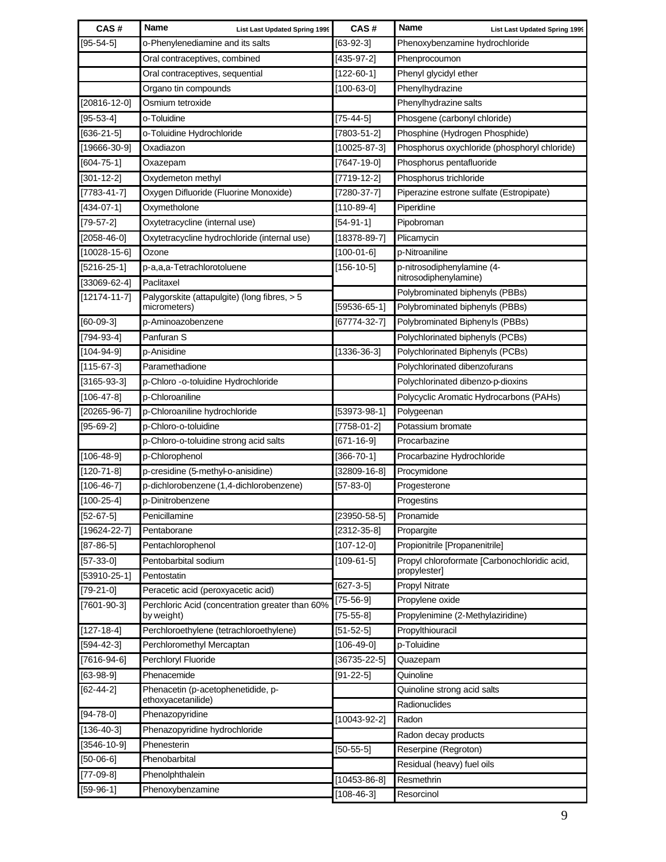| CAS#                          | <b>Name</b><br>List Last Updated Spring 1999    | CAS#               | <b>Name</b><br>List Last Updated Spring 1999                 |
|-------------------------------|-------------------------------------------------|--------------------|--------------------------------------------------------------|
| $[95 - 54 - 5]$               | o-Phenylenediamine and its salts                | $[63-92-3]$        | Phenoxybenzamine hydrochloride                               |
|                               | Oral contraceptives, combined                   | $[435-97-2]$       | Phenprocoumon                                                |
|                               | Oral contraceptives, sequential                 | $[122-60-1]$       | Phenyl glycidyl ether                                        |
|                               | Organo tin compounds                            | $[100 - 63 - 0]$   | Phenylhydrazine                                              |
| $[20816 - 12 - 0]$            | Osmium tetroxide                                |                    | Phenylhydrazine salts                                        |
| $[95 - 53 - 4]$               | o-Toluidine                                     | $[75 - 44 - 5]$    | Phosgene (carbonyl chloride)                                 |
| $[636-21-5]$                  | o-Toluidine Hydrochloride                       | $[7803 - 51 - 2]$  | Phosphine (Hydrogen Phosphide)                               |
| $[19666 - 30 - 9]$            | Oxadiazon                                       | $[10025 - 87 - 3]$ | Phosphorus oxychloride (phosphoryl chloride)                 |
| $[604 - 75 - 1]$              | Oxazepam                                        | $[7647 - 19 - 0]$  | Phosphorus pentafluoride                                     |
| $[301 - 12 - 2]$              | Oxydemeton methyl                               | $[7719-12-2]$      | Phosphorus trichloride                                       |
| $[7783 - 41 - 7]$             | Oxygen Difluoride (Fluorine Monoxide)           | $[7280-37-7]$      | Piperazine estrone sulfate (Estropipate)                     |
| $[434-07-1]$                  | Oxymetholone                                    | $[110-89-4]$       | Piperidine                                                   |
| $[79-57-2]$                   | Oxytetracycline (internal use)                  | $[54-91-1]$        | Pipobroman                                                   |
| $[2058 - 46 - 0]$             | Oxytetracycline hydrochloride (internal use)    | $[18378-89-7]$     | Plicamycin                                                   |
| $[10028 - 15 - 6]$            | Ozone                                           | $[100-01-6]$       | p-Nitroaniline                                               |
| $[5216 - 25 - 1]$             | p-a,a,a-Tetrachlorotoluene                      | $[156 - 10 - 5]$   | p-nitrosodiphenylamine (4-                                   |
| $[33069-62-4]$                | Paclitaxel                                      |                    | nitrosodiphenylamine)                                        |
| $[12174 - 11 - 7]$            | Palygorskite (attapulgite) (long fibres, > 5    |                    | Polybrominated biphenyls (PBBs)                              |
|                               | micrometers)                                    | [59536-65-1]       | Polybrominated biphenyls (PBBs)                              |
| $[60-09-3]$                   | p-Aminoazobenzene                               | $[67774-32-7]$     | Polybrominated Biphenyls (PBBs)                              |
| [794-93-4]                    | Panfuran S                                      |                    | Polychlorinated biphenyls (PCBs)                             |
| $[104 - 94 - 9]$              | p-Anisidine                                     | $[1336 - 36 - 3]$  | Polychlorinated Biphenyls (PCBs)                             |
| $[115-67-3]$                  | Paramethadione                                  |                    | Polychlorinated dibenzofurans                                |
| $[3165 - 93 - 3]$             | p-Chloro -o-toluidine Hydrochloride             |                    | Polychlorinated dibenzo-p-dioxins                            |
| $[106 - 47 - 8]$              | p-Chloroaniline                                 |                    | Polycyclic Aromatic Hydrocarbons (PAHs)                      |
| $[20265 - 96 - 7]$            | p-Chloroaniline hydrochloride                   | [53973-98-1]       | Polygeenan                                                   |
| $[95 - 69 - 2]$               | p-Chloro-o-toluidine                            | $[7758-01-2]$      | Potassium bromate                                            |
|                               | p-Chloro-o-toluidine strong acid salts          | $[671 - 16 - 9]$   | Procarbazine                                                 |
| $[106-48-9]$                  | p-Chlorophenol                                  | $[366 - 70 - 1]$   | Procarbazine Hydrochloride                                   |
| $[120 - 71 - 8]$              | p-cresidine (5-methyl-o-anisidine)              | $[32809 - 16 - 8]$ | Procymidone                                                  |
| $[106 - 46 - 7]$              | p-dichlorobenzene (1,4-dichlorobenzene)         | $[57 - 83 - 0]$    | Progesterone                                                 |
| $[100-25-4]$                  | p-Dinitrobenzene                                |                    | Progestins                                                   |
| $[52-67-5]$                   | Penicillamine                                   | $[23950 - 58 - 5]$ | Pronamide                                                    |
| $[19624 - 22 - 7]$            | Pentaborane                                     | $[2312 - 35 - 8]$  | Propargite                                                   |
| $[87 - 86 - 5]$               | Pentachlorophenol                               | $[107 - 12 - 0]$   | Propionitrile [Propanenitrile]                               |
| $[57-33-0]$<br>$[53910-25-1]$ | Pentobarbital sodium<br>Pentostatin             | $[109-61-5]$       | Propyl chloroformate [Carbonochloridic acid,<br>propylester] |
| $[79-21-0]$                   | Peracetic acid (peroxyacetic acid)              | $[627 - 3 - 5]$    | <b>Propyl Nitrate</b>                                        |
| $[7601 - 90 - 3]$             | Perchloric Acid (concentration greater than 60% | $[75-56-9]$        | Propylene oxide                                              |
|                               | by weight)                                      | $[75 - 55 - 8]$    | Propylenimine (2-Methylaziridine)                            |
| $[127 - 18 - 4]$              | Perchloroethylene (tetrachloroethylene)         | $[51 - 52 - 5]$    | Propylthiouracil                                             |
| $[594-42-3]$                  | Perchloromethyl Mercaptan                       | $[106 - 49 - 0]$   | p-Toluidine                                                  |
| $[7616-94-6]$                 | Perchloryl Fluoride                             | $[36735 - 22 - 5]$ | Quazepam                                                     |
| $[63 - 98 - 9]$               | Phenacemide                                     | $[91 - 22 - 5]$    | Quinoline                                                    |
| $[62 - 44 - 2]$               | Phenacetin (p-acetophenetidide, p-              |                    | Quinoline strong acid salts                                  |
|                               | ethoxyacetanilide)                              |                    | Radionuclides                                                |
| $[94 - 78 - 0]$               | Phenazopyridine                                 | $[10043-92-2]$     | Radon                                                        |
| $[136 - 40 - 3]$              | Phenazopyridine hydrochloride                   |                    | Radon decay products                                         |
| $[3546 - 10 - 9]$             | Phenesterin                                     | $[50-55-5]$        | Reserpine (Regroton)                                         |
| $[50-06-6]$                   | Phenobarbital                                   |                    | Residual (heavy) fuel oils                                   |
| $[77-09-8]$                   | Phenolphthalein                                 | $[10453 - 86 - 8]$ | Resmethrin                                                   |
| $[59-96-1]$                   | Phenoxybenzamine                                | $[108 - 46 - 3]$   | Resorcinol                                                   |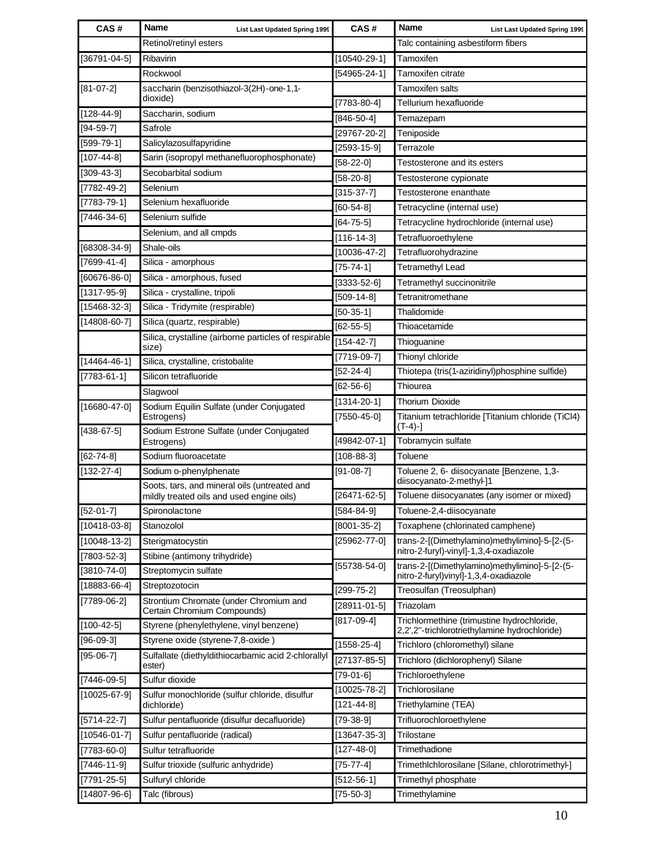| CAS#               | Name<br><b>List Last Updated Spring 1999</b>                          | CAS#                                   | <b>Name</b><br><b>List Last Updated Spring 1999</b>                                         |
|--------------------|-----------------------------------------------------------------------|----------------------------------------|---------------------------------------------------------------------------------------------|
|                    | Retinol/retinyl esters                                                |                                        | Talc containing asbestiform fibers                                                          |
| $[36791 - 04 - 5]$ | Ribavirin                                                             | $[10540 - 29 - 1]$                     | Tamoxifen                                                                                   |
|                    | Rockwool                                                              | $[54965 - 24 - 1]$                     | Tamoxifen citrate                                                                           |
| $[81-07-2]$        | saccharin (benzisothiazol-3(2H)-one-1,1-                              |                                        | <b>Tamoxifen salts</b>                                                                      |
|                    | dioxide)                                                              | $[7783 - 80 - 4]$                      | Tellurium hexafluoride                                                                      |
| $[128 - 44 - 9]$   | Saccharin, sodium                                                     | $[846 - 50 - 4]$                       | Temazepam                                                                                   |
| $[94 - 59 - 7]$    | Safrole                                                               | $[29767 - 20 - 2]$                     | Teniposide                                                                                  |
| $[599-79-1]$       | Salicylazosulfapyridine                                               | $[2593 - 15 - 9]$                      | Terrazole                                                                                   |
| $[107 - 44 - 8]$   | Sarin (isopropyl methanefluorophosphonate)                            | $[58-22-0]$                            | Testosterone and its esters                                                                 |
| $[309-43-3]$       | Secobarbital sodium                                                   | $[58-20-8]$                            | Testosterone cypionate                                                                      |
| $[7782 - 49 - 2]$  | Selenium                                                              | $[315-37-7]$                           | Testosterone enanthate                                                                      |
| $[7783 - 79 - 1]$  | Selenium hexafluoride                                                 | $[60-54-8]$                            | Tetracycline (internal use)                                                                 |
| $[7446 - 34 - 6]$  | Selenium sulfide                                                      | $[64 - 75 - 5]$                        | Tetracycline hydrochloride (internal use)                                                   |
|                    | Selenium, and all cmpds                                               | $[116 - 14 - 3]$                       | Tetrafluoroethylene                                                                         |
| $[68308 - 34 - 9]$ | Shale-oils                                                            | $[10036 - 47 - 2]$                     | Tetrafluorohydrazine                                                                        |
| $[7699-41-4]$      | Silica - amorphous                                                    | $[75 - 74 - 1]$                        | <b>Tetramethyl Lead</b>                                                                     |
| $[60676-86-0]$     | Silica - amorphous, fused                                             | $[3333-52-6]$                          | Tetramethyl succinonitrile                                                                  |
| $[1317 - 95 - 9]$  | Silica - crystalline, tripoli                                         | $[509-14-8]$                           | Tetranitromethane                                                                           |
| $[15468-32-3]$     | Silica - Tridymite (respirable)                                       | $[50-35-1]$                            | Thalidomide                                                                                 |
| $[14808 - 60 - 7]$ | Silica (quartz, respirable)                                           | $[62 - 55 - 5]$                        | Thioacetamide                                                                               |
|                    | Silica, crystalline (airborne particles of respirable                 | $[154 - 42 - 7]$                       | Thioguanine                                                                                 |
|                    | size)                                                                 | $[7719-09-7]$                          | Thionyl chloride                                                                            |
| $[14464 - 46 - 1]$ | Silica, crystalline, cristobalite                                     | $[52 - 24 - 4]$                        | Thiotepa (tris(1-aziridinyl)phosphine sulfide)                                              |
| $[7783 - 61 - 1]$  | Silicon tetrafluoride                                                 | $[62 - 56 - 6]$                        | Thiourea                                                                                    |
|                    | Slagwool                                                              | $[1314 - 20 - 1]$                      | <b>Thorium Dioxide</b>                                                                      |
| $[16680 - 47 - 0]$ | Sodium Equilin Sulfate (under Conjugated<br>Estrogens)                | $[7550 - 45 - 0]$                      | Titanium tetrachloride [Titanium chloride (TiCl4)<br>$(T-4)-$ ]                             |
| $[438-67-5]$       | Sodium Estrone Sulfate (under Conjugated<br>Estrogens)                | [49842-07-1]                           | Tobramycin sulfate                                                                          |
| $[62 - 74 - 8]$    | Sodium fluoroacetate                                                  | $[108 - 88 - 3]$                       | Toluene                                                                                     |
| $[132 - 27 - 4]$   | Sodium o-phenylphenate                                                | $[91-08-7]$                            | Toluene 2, 6- diisocyanate [Benzene, 1,3-                                                   |
|                    | Soots, tars, and mineral oils (untreated and                          |                                        | diisocyanato-2-methyl-]1                                                                    |
|                    | mildly treated oils and used engine oils)                             | $[26471 - 62 - 5]$                     | Toluene diisocyanates (any isomer or mixed)                                                 |
| $[52-01-7]$        | Spironolactone                                                        | $[584 - 84 - 9]$                       | Toluene-2,4-diisocyanate                                                                    |
| $[10418-03-8]$     | Stanozolol                                                            | $[8001 - 35 - 2]$                      | Toxaphene (chlorinated camphene)                                                            |
| $[10048 - 13 - 2]$ | Sterigmatocystin                                                      | $[25962 - 77 - 0]$                     | trans-2-[(Dimethylamino)methylimino]-5-[2-(5-                                               |
| $[7803 - 52 - 3]$  | Stibine (antimony trihydride)                                         |                                        | nitro-2-furyl)-vinyl]-1,3,4-oxadiazole                                                      |
| $[3810 - 74 - 0]$  | Streptomycin sulfate                                                  | $[55738 - 54 - 0]$                     | trans-2-[(Dimethylamino)methylimino]-5-[2-(5-<br>nitro-2-furyl) vinyl]-1,3,4-oxadiazole     |
| $[18883 - 66 - 4]$ | Streptozotocin                                                        | $[299 - 75 - 2]$                       | Treosulfan (Treosulphan)                                                                    |
| $[7789-06-2]$      | Strontium Chromate (under Chromium and<br>Certain Chromium Compounds) | $[28911 - 01 - 5]$                     | Triazolam                                                                                   |
| $[100-42-5]$       | Styrene (phenylethylene, vinyl benzene)                               | $[817-09-4]$                           | Trichlormethine (trimustine hydrochloride,<br>2,2",2"-trichlorotriethylamine hydrochloride) |
| $[96-09-3]$        | Styrene oxide (styrene-7,8-oxide)                                     | $[1558 - 25 - 4]$                      | Trichloro (chloromethyl) silane                                                             |
| $[95-06-7]$        | Sulfallate (diethyldithiocarbamic acid 2-chlorallyl                   | $[27137 - 85 - 5]$                     | Trichloro (dichlorophenyl) Silane                                                           |
|                    | ester)                                                                | $[79-01-6]$                            | Trichloroethylene                                                                           |
| $[7446-09-5]$      | Sulfur dioxide                                                        |                                        | Trichlorosilane                                                                             |
| $[10025 - 67 - 9]$ | Sulfur monochloride (sulfur chloride, disulfur<br>dichloride)         | $[10025 - 78 - 2]$<br>$[121 - 44 - 8]$ | Triethylamine (TEA)                                                                         |
| $[5714 - 22 - 7]$  | Sulfur pentafluoride (disulfur decafluoride)                          | $[79-38-9]$                            | Trifluorochloroethylene                                                                     |
| $[10546 - 01 - 7]$ | Sulfur pentafluoride (radical)                                        | $[13647 - 35 - 3]$                     | Trilostane                                                                                  |
| $[7783 - 60 - 0]$  | Sulfur tetrafluoride                                                  | $[127 - 48 - 0]$                       | Trimethadione                                                                               |
| $[7446 - 11 - 9]$  | Sulfur trioxide (sulfuric anhydride)                                  | $[75 - 77 - 4]$                        | Trimethlchlorosilane [Silane, chlorotrimethyl-]                                             |
| $[7791 - 25 - 5]$  | Sulfuryl chloride                                                     | $[512 - 56 - 1]$                       | Trimethyl phosphate                                                                         |
| $[14807 - 96 - 6]$ | Talc (fibrous)                                                        | $[75 - 50 - 3]$                        | Trimethylamine                                                                              |